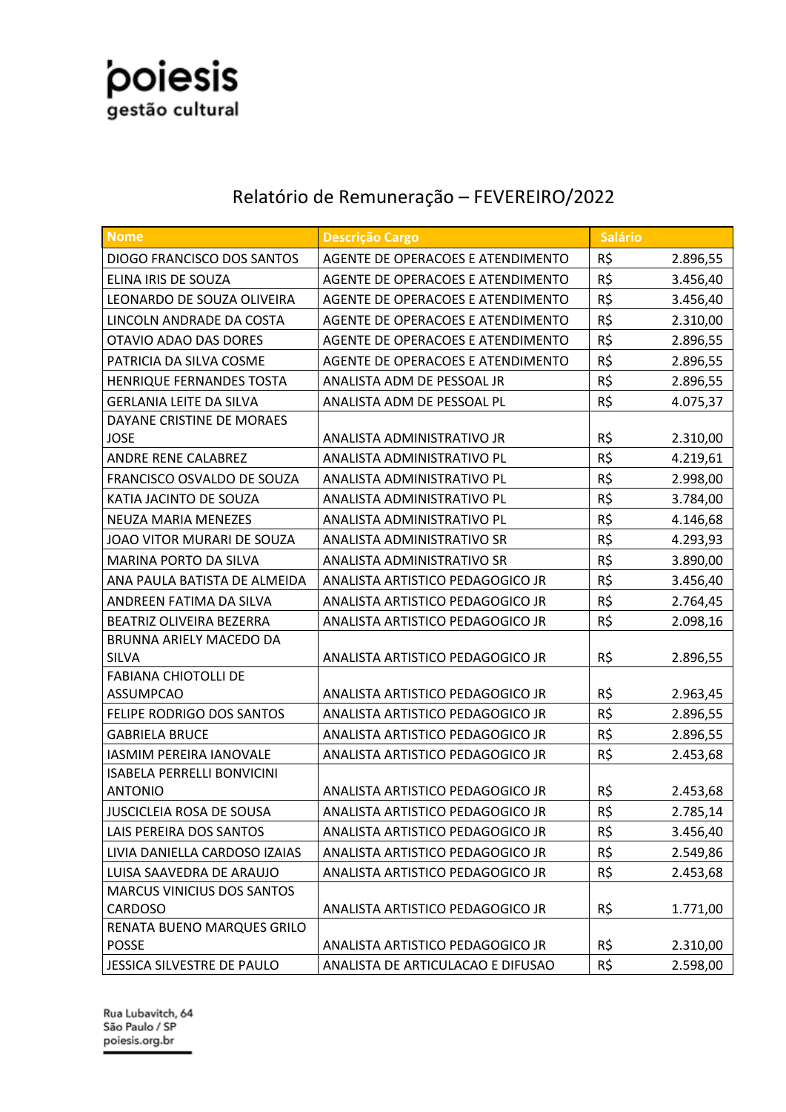

#### Relatório de Remuneração – FEVEREIRO/2022

| Nome                                         | <b>Descrição Cargo</b>            | <b>Salário</b> |          |
|----------------------------------------------|-----------------------------------|----------------|----------|
| <b>DIOGO FRANCISCO DOS SANTOS</b>            | AGENTE DE OPERACOES E ATENDIMENTO | R\$            | 2.896,55 |
| ELINA IRIS DE SOUZA                          | AGENTE DE OPERACOES E ATENDIMENTO | R\$            | 3.456,40 |
| LEONARDO DE SOUZA OLIVEIRA                   | AGENTE DE OPERACOES E ATENDIMENTO | R\$            | 3.456,40 |
| LINCOLN ANDRADE DA COSTA                     | AGENTE DE OPERACOES E ATENDIMENTO | R\$            | 2.310,00 |
| OTAVIO ADAO DAS DORES                        | AGENTE DE OPERACOES E ATENDIMENTO | R\$            | 2.896,55 |
| PATRICIA DA SILVA COSME                      | AGENTE DE OPERACOES E ATENDIMENTO | R\$            | 2.896,55 |
| HENRIQUE FERNANDES TOSTA                     | ANALISTA ADM DE PESSOAL JR        | R\$            | 2.896,55 |
| <b>GERLANIA LEITE DA SILVA</b>               | ANALISTA ADM DE PESSOAL PL        | R\$            | 4.075,37 |
| DAYANE CRISTINE DE MORAES                    |                                   |                |          |
| <b>JOSE</b>                                  | ANALISTA ADMINISTRATIVO JR        | R\$            | 2.310,00 |
| ANDRE RENE CALABREZ                          | ANALISTA ADMINISTRATIVO PL        | R\$            | 4.219,61 |
| FRANCISCO OSVALDO DE SOUZA                   | ANALISTA ADMINISTRATIVO PL        | R\$            | 2.998,00 |
| KATIA JACINTO DE SOUZA                       | ANALISTA ADMINISTRATIVO PL        | R\$            | 3.784,00 |
| <b>NEUZA MARIA MENEZES</b>                   | ANALISTA ADMINISTRATIVO PL        | R\$            | 4.146,68 |
| JOAO VITOR MURARI DE SOUZA                   | ANALISTA ADMINISTRATIVO SR        | R\$            | 4.293,93 |
| MARINA PORTO DA SILVA                        | ANALISTA ADMINISTRATIVO SR        | R\$            | 3.890,00 |
| ANA PAULA BATISTA DE ALMEIDA                 | ANALISTA ARTISTICO PEDAGOGICO JR  | R\$            | 3.456,40 |
| ANDREEN FATIMA DA SILVA                      | ANALISTA ARTISTICO PEDAGOGICO JR  | R\$            | 2.764,45 |
| BEATRIZ OLIVEIRA BEZERRA                     | ANALISTA ARTISTICO PEDAGOGICO JR  | R\$            | 2.098,16 |
| BRUNNA ARIELY MACEDO DA                      |                                   |                |          |
| <b>SILVA</b>                                 | ANALISTA ARTISTICO PEDAGOGICO JR  | R\$            | 2.896,55 |
| <b>FABIANA CHIOTOLLI DE</b>                  |                                   |                |          |
| <b>ASSUMPCAO</b>                             | ANALISTA ARTISTICO PEDAGOGICO JR  | R\$            | 2.963,45 |
| FELIPE RODRIGO DOS SANTOS                    | ANALISTA ARTISTICO PEDAGOGICO JR  | R\$            | 2.896,55 |
| <b>GABRIELA BRUCE</b>                        | ANALISTA ARTISTICO PEDAGOGICO JR  | R\$            | 2.896,55 |
| <b>IASMIM PEREIRA IANOVALE</b>               | ANALISTA ARTISTICO PEDAGOGICO JR  | R\$            | 2.453,68 |
| <b>ISABELA PERRELLI BONVICINI</b>            |                                   | R\$            |          |
| <b>ANTONIO</b>                               | ANALISTA ARTISTICO PEDAGOGICO JR  |                | 2.453,68 |
| JUSCICLEIA ROSA DE SOUSA                     | ANALISTA ARTISTICO PEDAGOGICO JR  | R\$            | 2.785,14 |
| LAIS PEREIRA DOS SANTOS                      | ANALISTA ARTISTICO PEDAGOGICO JR  | R\$            | 3.456,40 |
| LIVIA DANIELLA CARDOSO IZAIAS                | ANALISTA ARTISTICO PEDAGOGICO JR  | R\$            | 2.549,86 |
| LUISA SAAVEDRA DE ARAUJO                     | ANALISTA ARTISTICO PEDAGOGICO JR  | R\$            | 2.453,68 |
| <b>MARCUS VINICIUS DOS SANTOS</b><br>CARDOSO | ANALISTA ARTISTICO PEDAGOGICO JR  | R\$            | 1.771,00 |
| RENATA BUENO MARQUES GRILO                   |                                   |                |          |
| POSSE                                        | ANALISTA ARTISTICO PEDAGOGICO JR  | R\$            | 2.310,00 |
| JESSICA SILVESTRE DE PAULO                   | ANALISTA DE ARTICULACAO E DIFUSAO | R\$            | 2.598,00 |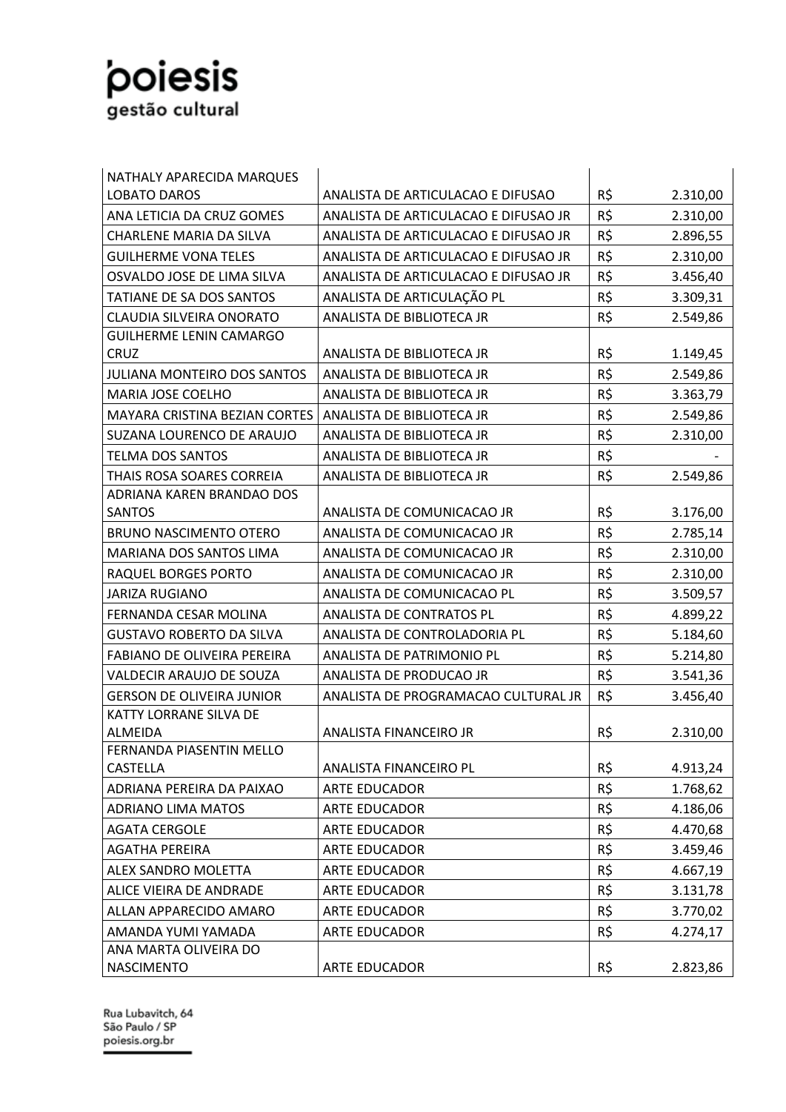| NATHALY APARECIDA MARQUES                   |                                      |     |          |
|---------------------------------------------|--------------------------------------|-----|----------|
| <b>LOBATO DAROS</b>                         | ANALISTA DE ARTICULACAO E DIFUSAO    | R\$ | 2.310,00 |
| ANA LETICIA DA CRUZ GOMES                   | ANALISTA DE ARTICULACAO E DIFUSAO JR | R\$ | 2.310,00 |
| <b>CHARLENE MARIA DA SILVA</b>              | ANALISTA DE ARTICULACAO E DIFUSAO JR | R\$ | 2.896,55 |
| <b>GUILHERME VONA TELES</b>                 | ANALISTA DE ARTICULACAO E DIFUSAO JR | R\$ | 2.310,00 |
| OSVALDO JOSE DE LIMA SILVA                  | ANALISTA DE ARTICULACAO E DIFUSAO JR | R\$ | 3.456,40 |
| <b>TATIANE DE SA DOS SANTOS</b>             | ANALISTA DE ARTICULAÇÃO PL           | R\$ | 3.309,31 |
| <b>CLAUDIA SILVEIRA ONORATO</b>             | ANALISTA DE BIBLIOTECA JR            | R\$ | 2.549,86 |
| <b>GUILHERME LENIN CAMARGO</b>              |                                      |     |          |
| CRUZ                                        | ANALISTA DE BIBLIOTECA JR            | R\$ | 1.149,45 |
| <b>JULIANA MONTEIRO DOS SANTOS</b>          | ANALISTA DE BIBLIOTECA JR            | R\$ | 2.549,86 |
| <b>MARIA JOSE COELHO</b>                    | ANALISTA DE BIBLIOTECA JR            | R\$ | 3.363,79 |
| MAYARA CRISTINA BEZIAN CORTES               | ANALISTA DE BIBLIOTECA JR            | R\$ | 2.549,86 |
| SUZANA LOURENCO DE ARAUJO                   | ANALISTA DE BIBLIOTECA JR            | R\$ | 2.310,00 |
| <b>TELMA DOS SANTOS</b>                     | ANALISTA DE BIBLIOTECA JR            | R\$ |          |
| <b>THAIS ROSA SOARES CORREIA</b>            | ANALISTA DE BIBLIOTECA JR            | R\$ | 2.549,86 |
| ADRIANA KAREN BRANDAO DOS                   |                                      |     |          |
| SANTOS                                      | ANALISTA DE COMUNICACAO JR           | R\$ | 3.176,00 |
| <b>BRUNO NASCIMENTO OTERO</b>               | ANALISTA DE COMUNICACAO JR           | R\$ | 2.785,14 |
| MARIANA DOS SANTOS LIMA                     | ANALISTA DE COMUNICACAO JR           | R\$ | 2.310,00 |
| <b>RAQUEL BORGES PORTO</b>                  | ANALISTA DE COMUNICACAO JR           | R\$ | 2.310,00 |
| <b>JARIZA RUGIANO</b>                       | ANALISTA DE COMUNICACAO PL           | R\$ | 3.509,57 |
| FERNANDA CESAR MOLINA                       | ANALISTA DE CONTRATOS PL             | R\$ | 4.899,22 |
| <b>GUSTAVO ROBERTO DA SILVA</b>             | ANALISTA DE CONTROLADORIA PL         | R\$ | 5.184,60 |
| <b>FABIANO DE OLIVEIRA PEREIRA</b>          | ANALISTA DE PATRIMONIO PL            | R\$ | 5.214,80 |
| VALDECIR ARAUJO DE SOUZA                    | ANALISTA DE PRODUCAO JR              | R\$ | 3.541,36 |
| <b>GERSON DE OLIVEIRA JUNIOR</b>            | ANALISTA DE PROGRAMACAO CULTURAL JR  | R\$ | 3.456,40 |
| KATTY LORRANE SILVA DE                      |                                      |     |          |
| <b>ALMEIDA</b>                              | ANALISTA FINANCEIRO JR               | R\$ | 2.310,00 |
| FERNANDA PIASENTIN MELLO<br><b>CASTELLA</b> | ANALISTA FINANCEIRO PL               | R\$ |          |
| ADRIANA PEREIRA DA PAIXAO                   | ARTE EDUCADOR                        | R\$ | 4.913,24 |
| <b>ADRIANO LIMA MATOS</b>                   | ARTE EDUCADOR                        | R\$ | 1.768,62 |
| <b>AGATA CERGOLE</b>                        | <b>ARTE EDUCADOR</b>                 | R\$ | 4.186,06 |
| <b>AGATHA PEREIRA</b>                       | <b>ARTE EDUCADOR</b>                 | R\$ | 4.470,68 |
|                                             |                                      |     | 3.459,46 |
| ALEX SANDRO MOLETTA                         | ARTE EDUCADOR                        | R\$ | 4.667,19 |
| ALICE VIEIRA DE ANDRADE                     | <b>ARTE EDUCADOR</b>                 | R\$ | 3.131,78 |
| ALLAN APPARECIDO AMARO                      | ARTE EDUCADOR                        | R\$ | 3.770,02 |
| AMANDA YUMI YAMADA<br>ANA MARTA OLIVEIRA DO | ARTE EDUCADOR                        | R\$ | 4.274,17 |
| <b>NASCIMENTO</b>                           | <b>ARTE EDUCADOR</b>                 | R\$ | 2.823,86 |
|                                             |                                      |     |          |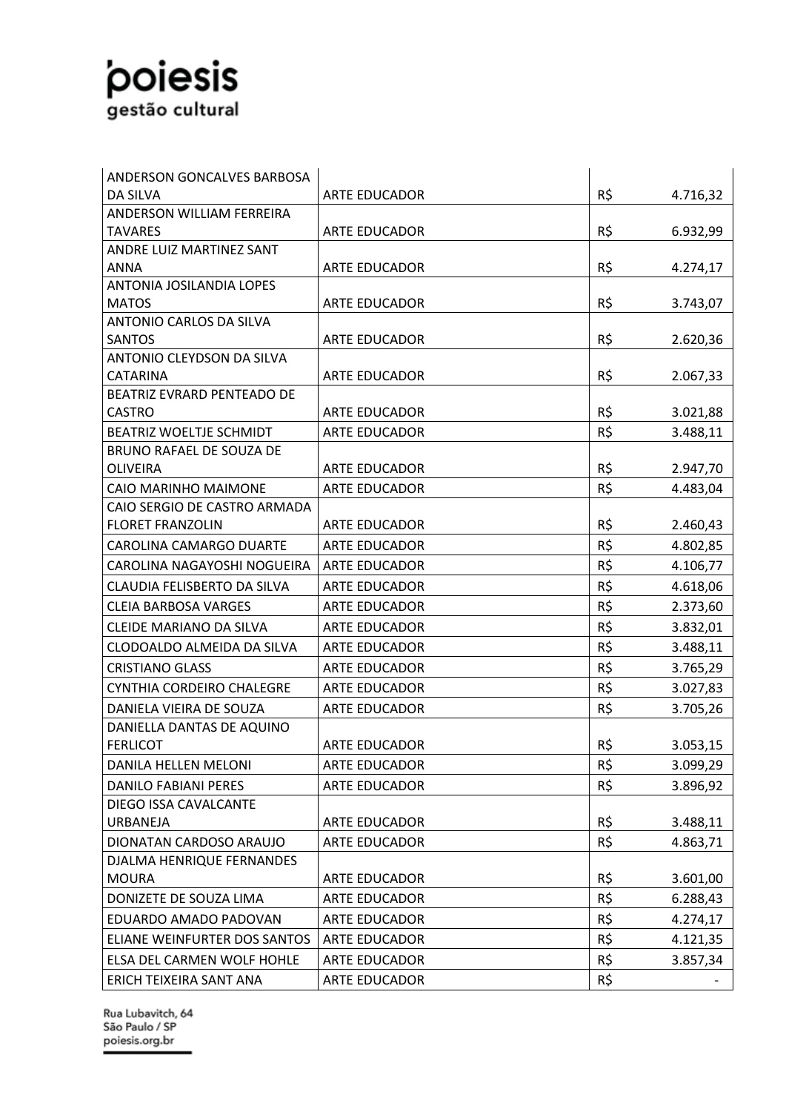| ANDERSON GONCALVES BARBOSA                              |                      |     |          |
|---------------------------------------------------------|----------------------|-----|----------|
| <b>DA SILVA</b>                                         | <b>ARTE EDUCADOR</b> | R\$ | 4.716,32 |
| ANDERSON WILLIAM FERREIRA                               |                      |     |          |
| <b>TAVARES</b>                                          | <b>ARTE EDUCADOR</b> | R\$ | 6.932,99 |
| ANDRE LUIZ MARTINEZ SANT                                |                      |     |          |
| <b>ANNA</b>                                             | <b>ARTE EDUCADOR</b> | R\$ | 4.274,17 |
| ANTONIA JOSILANDIA LOPES                                |                      |     |          |
| <b>MATOS</b>                                            | ARTE EDUCADOR        | R\$ | 3.743,07 |
| <b>ANTONIO CARLOS DA SILVA</b>                          |                      |     |          |
| <b>SANTOS</b>                                           | <b>ARTE EDUCADOR</b> | R\$ | 2.620,36 |
| ANTONIO CLEYDSON DA SILVA                               |                      |     |          |
| <b>CATARINA</b>                                         | <b>ARTE EDUCADOR</b> | R\$ | 2.067,33 |
| BEATRIZ EVRARD PENTEADO DE                              |                      |     |          |
| <b>CASTRO</b>                                           | <b>ARTE EDUCADOR</b> | R\$ | 3.021,88 |
| BEATRIZ WOELTJE SCHMIDT                                 | <b>ARTE EDUCADOR</b> | R\$ | 3.488,11 |
| BRUNO RAFAEL DE SOUZA DE                                |                      | R\$ |          |
| <b>OLIVEIRA</b>                                         | <b>ARTE EDUCADOR</b> |     | 2.947,70 |
| CAIO MARINHO MAIMONE                                    | <b>ARTE EDUCADOR</b> | R\$ | 4.483,04 |
| CAIO SERGIO DE CASTRO ARMADA<br><b>FLORET FRANZOLIN</b> | <b>ARTE EDUCADOR</b> | R\$ | 2.460,43 |
|                                                         |                      | R\$ |          |
| <b>CAROLINA CAMARGO DUARTE</b>                          | <b>ARTE EDUCADOR</b> |     | 4.802,85 |
| CAROLINA NAGAYOSHI NOGUEIRA                             | <b>ARTE EDUCADOR</b> | R\$ | 4.106,77 |
| CLAUDIA FELISBERTO DA SILVA                             | <b>ARTE EDUCADOR</b> | R\$ | 4.618,06 |
| <b>CLEIA BARBOSA VARGES</b>                             | <b>ARTE EDUCADOR</b> | R\$ | 2.373,60 |
| CLEIDE MARIANO DA SILVA                                 | <b>ARTE EDUCADOR</b> | R\$ | 3.832,01 |
| CLODOALDO ALMEIDA DA SILVA                              | <b>ARTE EDUCADOR</b> | R\$ | 3.488,11 |
| <b>CRISTIANO GLASS</b>                                  | <b>ARTE EDUCADOR</b> | R\$ | 3.765,29 |
| CYNTHIA CORDEIRO CHALEGRE                               | <b>ARTE EDUCADOR</b> | R\$ | 3.027,83 |
| DANIELA VIEIRA DE SOUZA                                 | <b>ARTE EDUCADOR</b> | R\$ | 3.705,26 |
| DANIELLA DANTAS DE AQUINO                               |                      |     |          |
| <b>FERLICOT</b>                                         | <b>ARTE EDUCADOR</b> | R\$ | 3.053,15 |
| DANILA HELLEN MELONI                                    | ARTE EDUCADOR        | R\$ | 3.099,29 |
| <b>DANILO FABIANI PERES</b>                             | <b>ARTE EDUCADOR</b> | R\$ | 3.896,92 |
| DIEGO ISSA CAVALCANTE                                   |                      |     |          |
| URBANEJA                                                | ARTE EDUCADOR        | R\$ | 3.488,11 |
| DIONATAN CARDOSO ARAUJO                                 | <b>ARTE EDUCADOR</b> | R\$ | 4.863,71 |
| DJALMA HENRIQUE FERNANDES                               |                      |     |          |
| <b>MOURA</b>                                            | ARTE EDUCADOR        | R\$ | 3.601,00 |
| DONIZETE DE SOUZA LIMA                                  | ARTE EDUCADOR        | R\$ | 6.288,43 |
| EDUARDO AMADO PADOVAN                                   | <b>ARTE EDUCADOR</b> | R\$ | 4.274,17 |
| ELIANE WEINFURTER DOS SANTOS                            | ARTE EDUCADOR        | R\$ | 4.121,35 |
| ELSA DEL CARMEN WOLF HOHLE                              | ARTE EDUCADOR        | R\$ | 3.857,34 |
| ERICH TEIXEIRA SANT ANA                                 | <b>ARTE EDUCADOR</b> | R\$ |          |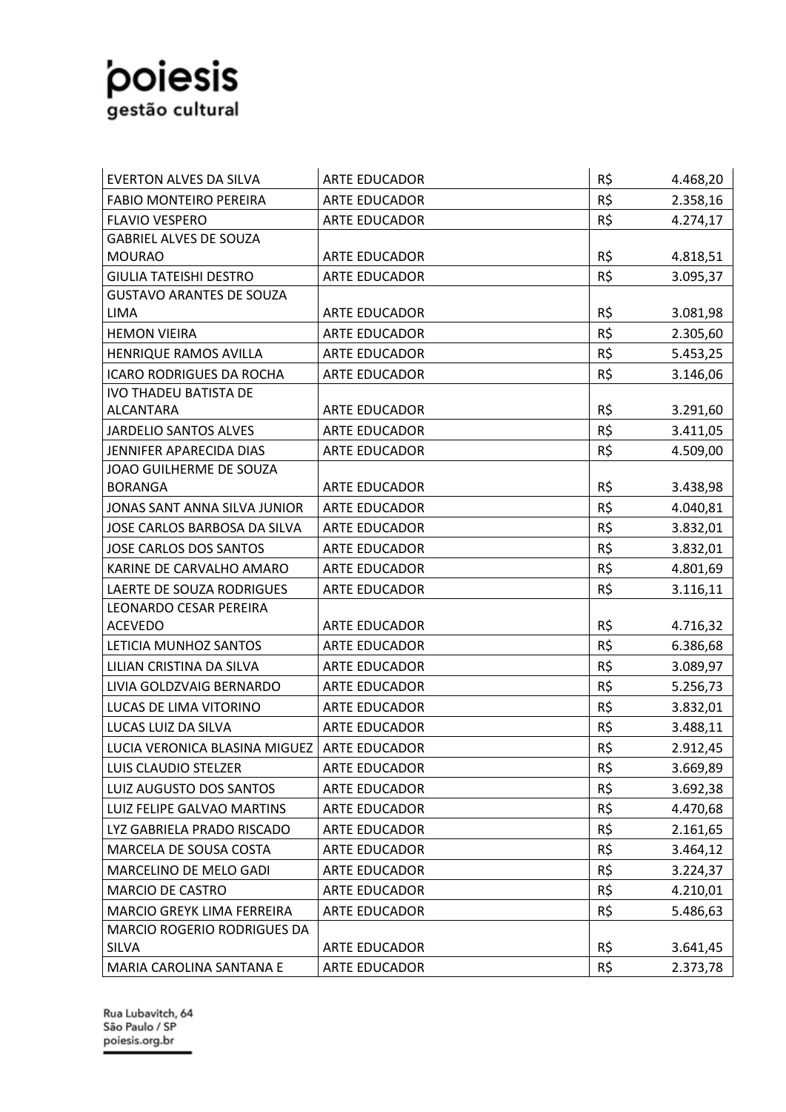| <b>EVERTON ALVES DA SILVA</b>      | <b>ARTE EDUCADOR</b> | R\$ | 4.468,20 |
|------------------------------------|----------------------|-----|----------|
| <b>FABIO MONTEIRO PEREIRA</b>      | <b>ARTE EDUCADOR</b> | R\$ | 2.358,16 |
| <b>FLAVIO VESPERO</b>              | <b>ARTE EDUCADOR</b> | R\$ | 4.274,17 |
| <b>GABRIEL ALVES DE SOUZA</b>      |                      |     |          |
| <b>MOURAO</b>                      | <b>ARTE EDUCADOR</b> | R\$ | 4.818,51 |
| <b>GIULIA TATEISHI DESTRO</b>      | ARTE EDUCADOR        | R\$ | 3.095,37 |
| <b>GUSTAVO ARANTES DE SOUZA</b>    |                      |     |          |
| <b>LIMA</b>                        | ARTE EDUCADOR        | R\$ | 3.081,98 |
| <b>HEMON VIEIRA</b>                | <b>ARTE EDUCADOR</b> | R\$ | 2.305,60 |
| HENRIQUE RAMOS AVILLA              | <b>ARTE EDUCADOR</b> | R\$ | 5.453,25 |
| <b>ICARO RODRIGUES DA ROCHA</b>    | <b>ARTE EDUCADOR</b> | R\$ | 3.146,06 |
| <b>IVO THADEU BATISTA DE</b>       |                      |     |          |
| <b>ALCANTARA</b>                   | <b>ARTE EDUCADOR</b> | R\$ | 3.291,60 |
| <b>JARDELIO SANTOS ALVES</b>       | <b>ARTE EDUCADOR</b> | R\$ | 3.411,05 |
| JENNIFER APARECIDA DIAS            | <b>ARTE EDUCADOR</b> | R\$ | 4.509,00 |
| JOAO GUILHERME DE SOUZA            |                      |     |          |
| <b>BORANGA</b>                     | ARTE EDUCADOR        | R\$ | 3.438,98 |
| JONAS SANT ANNA SILVA JUNIOR       | ARTE EDUCADOR        | R\$ | 4.040,81 |
| JOSE CARLOS BARBOSA DA SILVA       | <b>ARTE EDUCADOR</b> | R\$ | 3.832,01 |
| <b>JOSE CARLOS DOS SANTOS</b>      | <b>ARTE EDUCADOR</b> | R\$ | 3.832,01 |
| KARINE DE CARVALHO AMARO           | <b>ARTE EDUCADOR</b> | R\$ | 4.801,69 |
| LAERTE DE SOUZA RODRIGUES          | <b>ARTE EDUCADOR</b> | R\$ | 3.116,11 |
| LEONARDO CESAR PEREIRA             |                      |     |          |
| <b>ACEVEDO</b>                     | <b>ARTE EDUCADOR</b> | R\$ | 4.716,32 |
| LETICIA MUNHOZ SANTOS              | ARTE EDUCADOR        | R\$ | 6.386,68 |
| LILIAN CRISTINA DA SILVA           | <b>ARTE EDUCADOR</b> | R\$ | 3.089,97 |
| LIVIA GOLDZVAIG BERNARDO           | <b>ARTE EDUCADOR</b> | R\$ | 5.256,73 |
| LUCAS DE LIMA VITORINO             | <b>ARTE EDUCADOR</b> | R\$ | 3.832,01 |
| LUCAS LUIZ DA SILVA                | <b>ARTE EDUCADOR</b> | R\$ | 3.488,11 |
| LUCIA VERONICA BLASINA MIGUEZ      | <b>ARTE EDUCADOR</b> | R\$ | 2.912,45 |
| LUIS CLAUDIO STELZER               | ARTE EDUCADOR        | R\$ | 3.669,89 |
| LUIZ AUGUSTO DOS SANTOS            | ARTE EDUCADOR        | R\$ | 3.692,38 |
| LUIZ FELIPE GALVAO MARTINS         | ARTE EDUCADOR        | R\$ | 4.470,68 |
| LYZ GABRIELA PRADO RISCADO         | ARTE EDUCADOR        | R\$ | 2.161,65 |
| MARCELA DE SOUSA COSTA             | <b>ARTE EDUCADOR</b> | R\$ | 3.464,12 |
| MARCELINO DE MELO GADI             | <b>ARTE EDUCADOR</b> | R\$ | 3.224,37 |
| <b>MARCIO DE CASTRO</b>            | <b>ARTE EDUCADOR</b> | R\$ | 4.210,01 |
| MARCIO GREYK LIMA FERREIRA         | ARTE EDUCADOR        | R\$ | 5.486,63 |
| <b>MARCIO ROGERIO RODRIGUES DA</b> |                      |     |          |
| <b>SILVA</b>                       | ARTE EDUCADOR        | R\$ | 3.641,45 |
| MARIA CAROLINA SANTANA E           | ARTE EDUCADOR        | R\$ | 2.373,78 |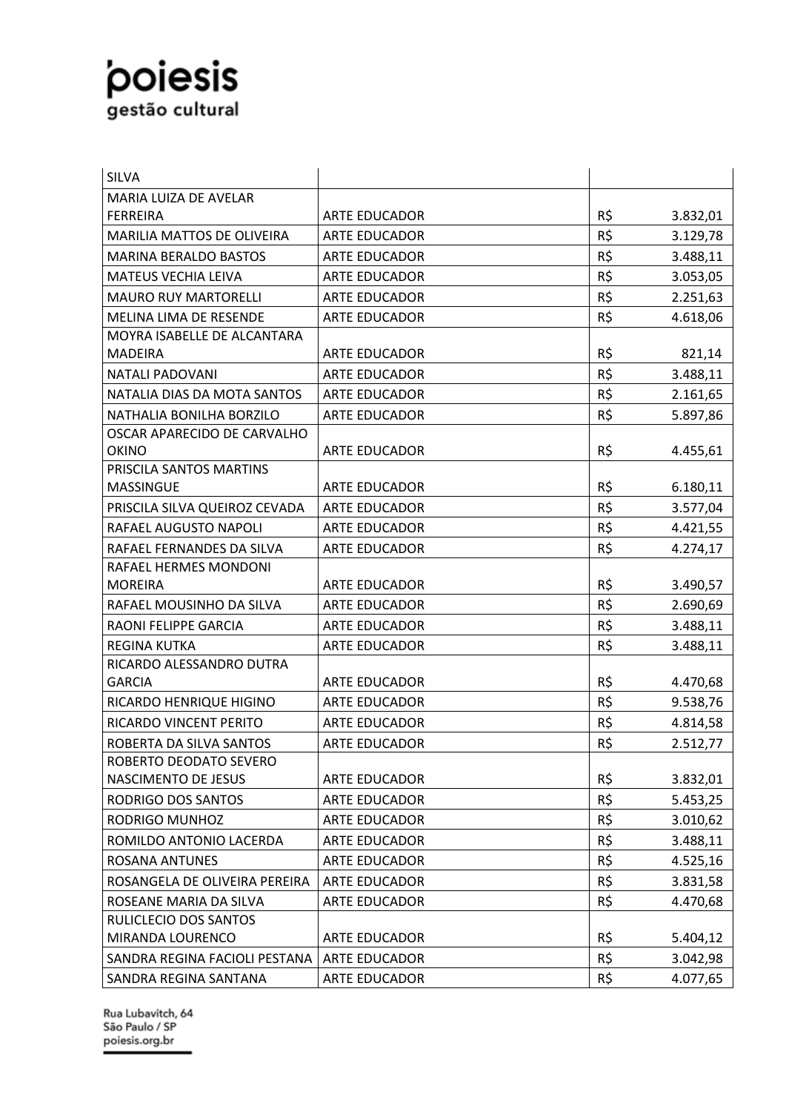| <b>SILVA</b>                                      |                      |     |          |
|---------------------------------------------------|----------------------|-----|----------|
| <b>MARIA LUIZA DE AVELAR</b>                      |                      |     |          |
| <b>FERREIRA</b>                                   | <b>ARTE EDUCADOR</b> | R\$ | 3.832,01 |
| <b>MARILIA MATTOS DE OLIVEIRA</b>                 | <b>ARTE EDUCADOR</b> | R\$ | 3.129,78 |
| <b>MARINA BERALDO BASTOS</b>                      | <b>ARTE EDUCADOR</b> | R\$ | 3.488,11 |
| <b>MATEUS VECHIA LEIVA</b>                        | <b>ARTE EDUCADOR</b> | R\$ | 3.053,05 |
| <b>MAURO RUY MARTORELLI</b>                       | <b>ARTE EDUCADOR</b> | R\$ | 2.251,63 |
| MELINA LIMA DE RESENDE                            | <b>ARTE EDUCADOR</b> | R\$ | 4.618,06 |
| MOYRA ISABELLE DE ALCANTARA                       |                      |     |          |
| <b>MADEIRA</b>                                    | <b>ARTE EDUCADOR</b> | R\$ | 821,14   |
| <b>NATALI PADOVANI</b>                            | <b>ARTE EDUCADOR</b> | R\$ | 3.488,11 |
| NATALIA DIAS DA MOTA SANTOS                       | <b>ARTE EDUCADOR</b> | R\$ | 2.161,65 |
| NATHALIA BONILHA BORZILO                          | <b>ARTE EDUCADOR</b> | R\$ | 5.897,86 |
| OSCAR APARECIDO DE CARVALHO                       |                      |     |          |
| <b>OKINO</b>                                      | <b>ARTE EDUCADOR</b> | R\$ | 4.455,61 |
| PRISCILA SANTOS MARTINS                           |                      |     |          |
| <b>MASSINGUE</b>                                  | <b>ARTE EDUCADOR</b> | R\$ | 6.180,11 |
| PRISCILA SILVA QUEIROZ CEVADA                     | <b>ARTE EDUCADOR</b> | R\$ | 3.577,04 |
| RAFAEL AUGUSTO NAPOLI                             | <b>ARTE EDUCADOR</b> | R\$ | 4.421,55 |
| RAFAEL FERNANDES DA SILVA                         | <b>ARTE EDUCADOR</b> | R\$ | 4.274,17 |
| RAFAEL HERMES MONDONI                             |                      |     |          |
| <b>MOREIRA</b>                                    | <b>ARTE EDUCADOR</b> | R\$ | 3.490,57 |
| RAFAEL MOUSINHO DA SILVA                          | <b>ARTE EDUCADOR</b> | R\$ | 2.690,69 |
| RAONI FELIPPE GARCIA                              | <b>ARTE EDUCADOR</b> | R\$ | 3.488,11 |
| <b>REGINA KUTKA</b>                               | <b>ARTE EDUCADOR</b> | R\$ | 3.488,11 |
| RICARDO ALESSANDRO DUTRA<br><b>GARCIA</b>         | <b>ARTE EDUCADOR</b> | R\$ | 4.470,68 |
| RICARDO HENRIQUE HIGINO                           | <b>ARTE EDUCADOR</b> | R\$ | 9.538,76 |
| RICARDO VINCENT PERITO                            | <b>ARTE EDUCADOR</b> |     |          |
|                                                   |                      | R\$ | 4.814,58 |
| ROBERTA DA SILVA SANTOS<br>ROBERTO DEODATO SEVERO | <b>ARTE EDUCADOR</b> | R\$ | 2.512,77 |
| NASCIMENTO DE JESUS                               | <b>ARTE EDUCADOR</b> | R\$ | 3.832,01 |
| RODRIGO DOS SANTOS                                | <b>ARTE EDUCADOR</b> | R\$ | 5.453,25 |
| RODRIGO MUNHOZ                                    | <b>ARTE EDUCADOR</b> | R\$ | 3.010,62 |
| ROMILDO ANTONIO LACERDA                           | <b>ARTE EDUCADOR</b> | R\$ | 3.488,11 |
| <b>ROSANA ANTUNES</b>                             | <b>ARTE EDUCADOR</b> | R\$ | 4.525,16 |
| ROSANGELA DE OLIVEIRA PEREIRA                     | <b>ARTE EDUCADOR</b> | R\$ | 3.831,58 |
| ROSEANE MARIA DA SILVA                            | <b>ARTE EDUCADOR</b> | R\$ | 4.470,68 |
| RULICLECIO DOS SANTOS                             |                      |     |          |
| MIRANDA LOURENCO                                  | <b>ARTE EDUCADOR</b> | R\$ | 5.404,12 |
| SANDRA REGINA FACIOLI PESTANA                     | ARTE EDUCADOR        | R\$ | 3.042,98 |
| SANDRA REGINA SANTANA                             | <b>ARTE EDUCADOR</b> | R\$ | 4.077,65 |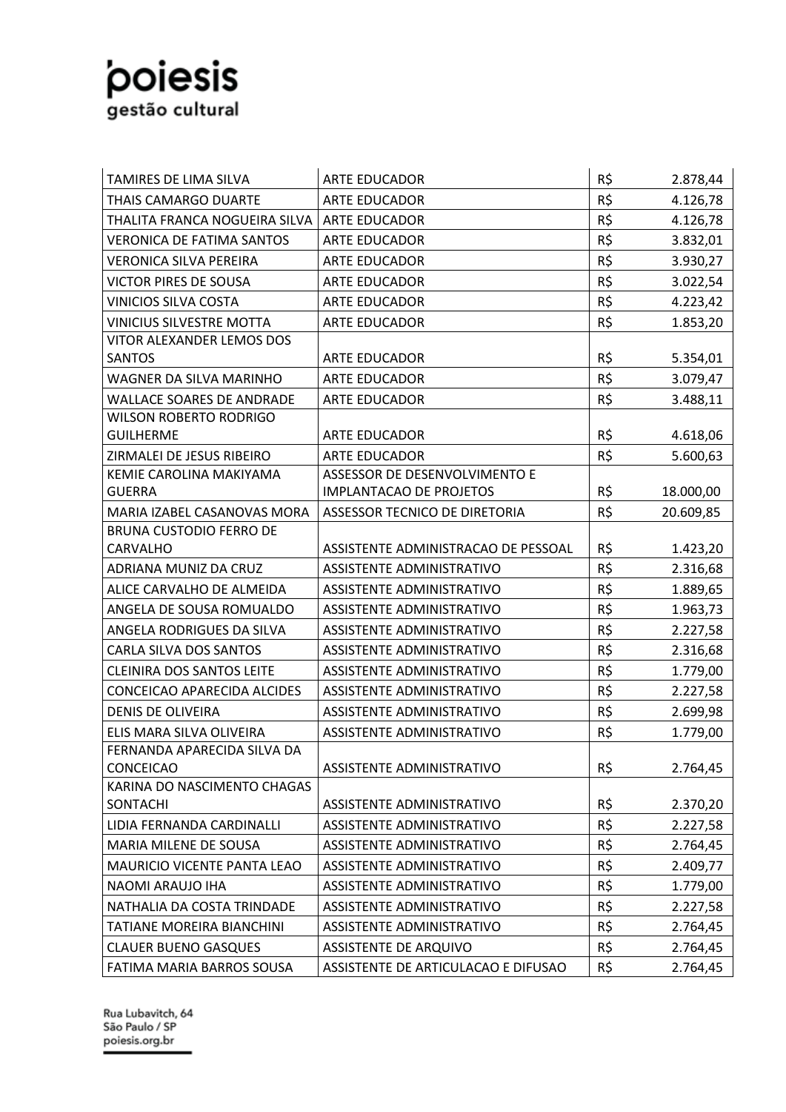| TAMIRES DE LIMA SILVA                                   | <b>ARTE EDUCADOR</b>                | R\$ | 2.878,44             |
|---------------------------------------------------------|-------------------------------------|-----|----------------------|
| <b>THAIS CAMARGO DUARTE</b>                             | <b>ARTE EDUCADOR</b>                | R\$ | 4.126,78             |
| THALITA FRANCA NOGUEIRA SILVA                           | <b>ARTE EDUCADOR</b>                | R\$ | 4.126,78             |
| <b>VERONICA DE FATIMA SANTOS</b>                        | ARTE EDUCADOR                       | R\$ | 3.832,01             |
| <b>VERONICA SILVA PEREIRA</b>                           | <b>ARTE EDUCADOR</b>                | R\$ | 3.930,27             |
| <b>VICTOR PIRES DE SOUSA</b>                            | <b>ARTE EDUCADOR</b>                | R\$ | 3.022,54             |
| <b>VINICIOS SILVA COSTA</b>                             | <b>ARTE EDUCADOR</b>                | R\$ | 4.223,42             |
| <b>VINICIUS SILVESTRE MOTTA</b>                         | <b>ARTE EDUCADOR</b>                | R\$ | 1.853,20             |
| VITOR ALEXANDER LEMOS DOS                               |                                     |     |                      |
| SANTOS                                                  | ARTE EDUCADOR                       | R\$ | 5.354,01             |
| WAGNER DA SILVA MARINHO                                 | <b>ARTE EDUCADOR</b>                | R\$ | 3.079,47             |
| <b>WALLACE SOARES DE ANDRADE</b>                        | ARTE EDUCADOR                       | R\$ | 3.488,11             |
| <b>WILSON ROBERTO RODRIGO</b>                           |                                     |     |                      |
| <b>GUILHERME</b>                                        | <b>ARTE EDUCADOR</b>                | R\$ | 4.618,06             |
| ZIRMALEI DE JESUS RIBEIRO                               | <b>ARTE EDUCADOR</b>                | R\$ | 5.600,63             |
| KEMIE CAROLINA MAKIYAMA                                 | ASSESSOR DE DESENVOLVIMENTO E       |     |                      |
| <b>GUERRA</b>                                           | <b>IMPLANTACAO DE PROJETOS</b>      | R\$ | 18.000,00            |
| MARIA IZABEL CASANOVAS MORA                             | ASSESSOR TECNICO DE DIRETORIA       | R\$ | 20.609,85            |
| <b>BRUNA CUSTODIO FERRO DE</b><br>CARVALHO              | ASSISTENTE ADMINISTRACAO DE PESSOAL | R\$ | 1.423,20             |
| ADRIANA MUNIZ DA CRUZ                                   | ASSISTENTE ADMINISTRATIVO           | R\$ | 2.316,68             |
| ALICE CARVALHO DE ALMEIDA                               | ASSISTENTE ADMINISTRATIVO           | R\$ | 1.889,65             |
| ANGELA DE SOUSA ROMUALDO                                | ASSISTENTE ADMINISTRATIVO           | R\$ |                      |
| ANGELA RODRIGUES DA SILVA                               | ASSISTENTE ADMINISTRATIVO           | R\$ | 1.963,73<br>2.227,58 |
| <b>CARLA SILVA DOS SANTOS</b>                           | <b>ASSISTENTE ADMINISTRATIVO</b>    | R\$ | 2.316,68             |
| <b>CLEINIRA DOS SANTOS LEITE</b>                        | ASSISTENTE ADMINISTRATIVO           | R\$ |                      |
| <b>CONCEICAO APARECIDA ALCIDES</b>                      | <b>ASSISTENTE ADMINISTRATIVO</b>    | R\$ | 1.779,00             |
|                                                         |                                     | R\$ | 2.227,58             |
| <b>DENIS DE OLIVEIRA</b>                                | ASSISTENTE ADMINISTRATIVO           |     | 2.699,98             |
| ELIS MARA SILVA OLIVEIRA<br>FERNANDA APARECIDA SILVA DA | ASSISTENTE ADMINISTRATIVO           | R\$ | 1.779,00             |
| <b>CONCEICAO</b>                                        | ASSISTENTE ADMINISTRATIVO           | R\$ | 2.764,45             |
| KARINA DO NASCIMENTO CHAGAS                             |                                     |     |                      |
| SONTACHI                                                | ASSISTENTE ADMINISTRATIVO           | R\$ | 2.370,20             |
| LIDIA FERNANDA CARDINALLI                               | ASSISTENTE ADMINISTRATIVO           | R\$ | 2.227,58             |
| MARIA MILENE DE SOUSA                                   | ASSISTENTE ADMINISTRATIVO           | R\$ | 2.764,45             |
| <b>MAURICIO VICENTE PANTA LEAO</b>                      | ASSISTENTE ADMINISTRATIVO           | R\$ | 2.409,77             |
| NAOMI ARAUJO IHA                                        | ASSISTENTE ADMINISTRATIVO           | R\$ | 1.779,00             |
| NATHALIA DA COSTA TRINDADE                              | ASSISTENTE ADMINISTRATIVO           | R\$ | 2.227,58             |
| TATIANE MOREIRA BIANCHINI                               | ASSISTENTE ADMINISTRATIVO           | R\$ | 2.764,45             |
| <b>CLAUER BUENO GASQUES</b>                             | <b>ASSISTENTE DE ARQUIVO</b>        | R\$ | 2.764,45             |
| FATIMA MARIA BARROS SOUSA                               | ASSISTENTE DE ARTICULACAO E DIFUSAO | R\$ | 2.764,45             |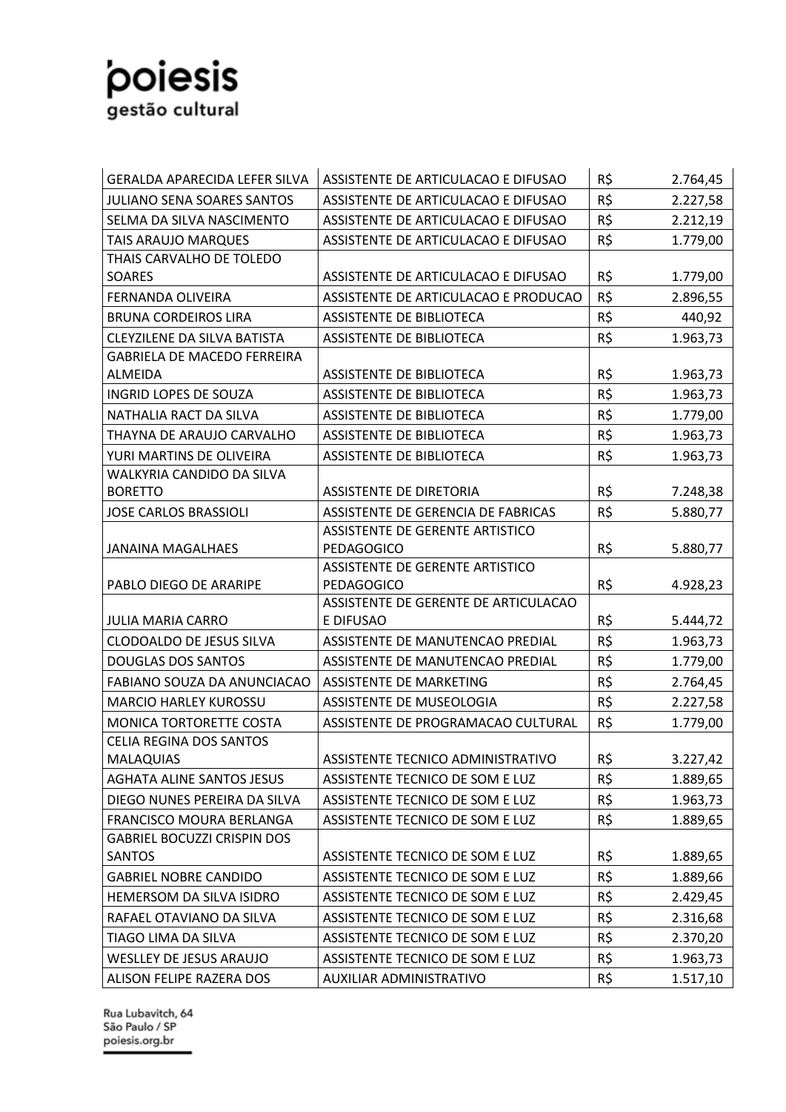

| <b>GERALDA APARECIDA LEFER SILVA</b> | ASSISTENTE DE ARTICULACAO E DIFUSAO                         | R\$ | 2.764,45 |
|--------------------------------------|-------------------------------------------------------------|-----|----------|
| <b>JULIANO SENA SOARES SANTOS</b>    | ASSISTENTE DE ARTICULACAO E DIFUSAO                         | R\$ | 2.227,58 |
| SELMA DA SILVA NASCIMENTO            | ASSISTENTE DE ARTICULACAO E DIFUSAO                         | R\$ | 2.212,19 |
| <b>TAIS ARAUJO MARQUES</b>           | ASSISTENTE DE ARTICULACAO E DIFUSAO                         | R\$ | 1.779,00 |
| THAIS CARVALHO DE TOLEDO             |                                                             |     |          |
| SOARES                               | ASSISTENTE DE ARTICULACAO E DIFUSAO                         | R\$ | 1.779,00 |
| <b>FERNANDA OLIVEIRA</b>             | ASSISTENTE DE ARTICULACAO E PRODUCAO                        | R\$ | 2.896,55 |
| <b>BRUNA CORDEIROS LIRA</b>          | <b>ASSISTENTE DE BIBLIOTECA</b>                             | R\$ | 440,92   |
| <b>CLEYZILENE DA SILVA BATISTA</b>   | <b>ASSISTENTE DE BIBLIOTECA</b>                             | R\$ | 1.963,73 |
| <b>GABRIELA DE MACEDO FERREIRA</b>   |                                                             |     |          |
| ALMEIDA                              | ASSISTENTE DE BIBLIOTECA                                    | R\$ | 1.963,73 |
| INGRID LOPES DE SOUZA                | ASSISTENTE DE BIBLIOTECA                                    | R\$ | 1.963,73 |
| NATHALIA RACT DA SILVA               | <b>ASSISTENTE DE BIBLIOTECA</b>                             | R\$ | 1.779,00 |
| THAYNA DE ARAUJO CARVALHO            | <b>ASSISTENTE DE BIBLIOTECA</b>                             | R\$ | 1.963,73 |
| YURI MARTINS DE OLIVEIRA             | <b>ASSISTENTE DE BIBLIOTECA</b>                             | R\$ | 1.963,73 |
| WALKYRIA CANDIDO DA SILVA            |                                                             |     |          |
| <b>BORETTO</b>                       | <b>ASSISTENTE DE DIRETORIA</b>                              | R\$ | 7.248,38 |
| <b>JOSE CARLOS BRASSIOLI</b>         | ASSISTENTE DE GERENCIA DE FABRICAS                          | R\$ | 5.880,77 |
|                                      | ASSISTENTE DE GERENTE ARTISTICO                             |     |          |
| <b>JANAINA MAGALHAES</b>             | <b>PEDAGOGICO</b>                                           | R\$ | 5.880,77 |
| PABLO DIEGO DE ARARIPE               | <b>ASSISTENTE DE GERENTE ARTISTICO</b><br><b>PEDAGOGICO</b> | R\$ | 4.928,23 |
|                                      | ASSISTENTE DE GERENTE DE ARTICULACAO                        |     |          |
| <b>JULIA MARIA CARRO</b>             | E DIFUSAO                                                   | R\$ | 5.444,72 |
| <b>CLODOALDO DE JESUS SILVA</b>      | ASSISTENTE DE MANUTENCAO PREDIAL                            | R\$ | 1.963,73 |
| <b>DOUGLAS DOS SANTOS</b>            | ASSISTENTE DE MANUTENCAO PREDIAL                            | R\$ | 1.779,00 |
| FABIANO SOUZA DA ANUNCIACAO          | ASSISTENTE DE MARKETING                                     | R\$ | 2.764,45 |
| <b>MARCIO HARLEY KUROSSU</b>         | ASSISTENTE DE MUSEOLOGIA                                    | R\$ | 2.227,58 |
| MONICA TORTORETTE COSTA              | ASSISTENTE DE PROGRAMACAO CULTURAL                          | R\$ | 1.779,00 |
| <b>CELIA REGINA DOS SANTOS</b>       |                                                             |     |          |
| MALAQUIAS                            | ASSISTENTE TECNICO ADMINISTRATIVO                           | R\$ | 3.227,42 |
| <b>AGHATA ALINE SANTOS JESUS</b>     | ASSISTENTE TECNICO DE SOM E LUZ                             | R\$ | 1.889,65 |
| DIEGO NUNES PEREIRA DA SILVA         | ASSISTENTE TECNICO DE SOM E LUZ                             | R\$ | 1.963,73 |
| FRANCISCO MOURA BERLANGA             | ASSISTENTE TECNICO DE SOM E LUZ                             | R\$ | 1.889,65 |
| <b>GABRIEL BOCUZZI CRISPIN DOS</b>   |                                                             |     |          |
| <b>SANTOS</b>                        | ASSISTENTE TECNICO DE SOM E LUZ                             | R\$ | 1.889,65 |
| <b>GABRIEL NOBRE CANDIDO</b>         | ASSISTENTE TECNICO DE SOM E LUZ                             | R\$ | 1.889,66 |
| HEMERSOM DA SILVA ISIDRO             | ASSISTENTE TECNICO DE SOM E LUZ                             | R\$ | 2.429,45 |
| RAFAEL OTAVIANO DA SILVA             | ASSISTENTE TECNICO DE SOM E LUZ                             | R\$ | 2.316,68 |
| TIAGO LIMA DA SILVA                  | ASSISTENTE TECNICO DE SOM E LUZ                             | R\$ | 2.370,20 |
| WESLLEY DE JESUS ARAUJO              | ASSISTENTE TECNICO DE SOM E LUZ                             | R\$ | 1.963,73 |
| ALISON FELIPE RAZERA DOS             | AUXILIAR ADMINISTRATIVO                                     | R\$ | 1.517,10 |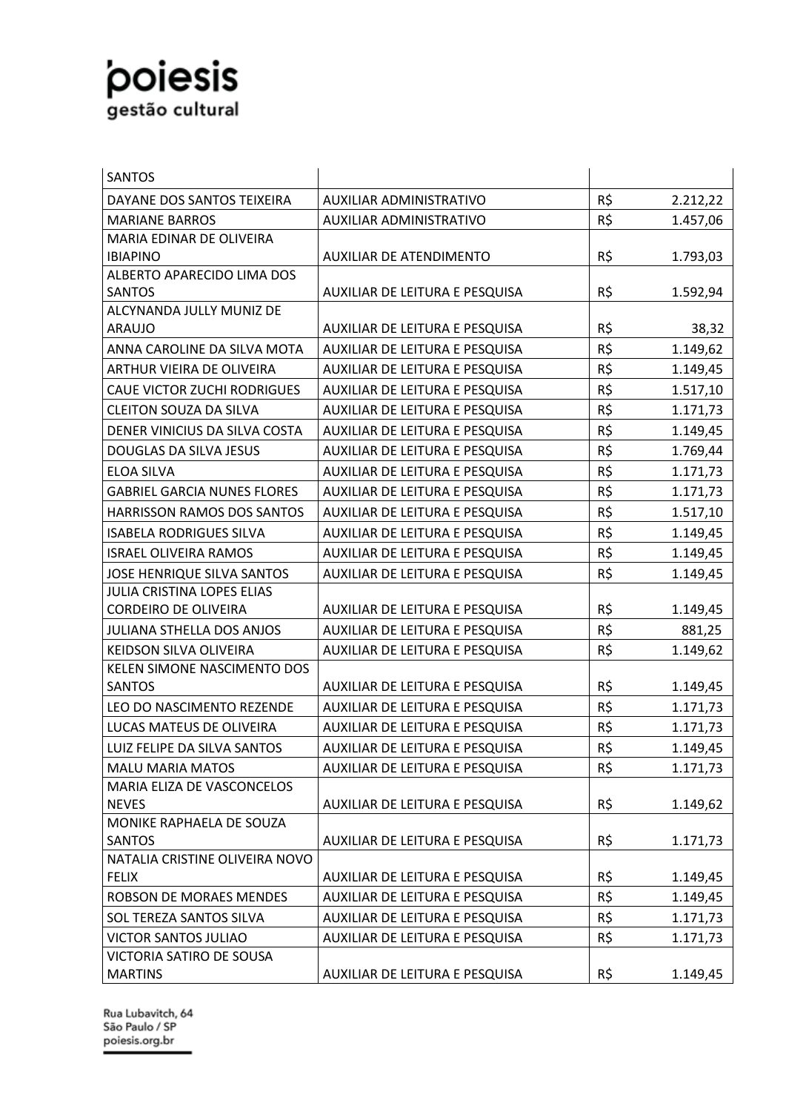| SANTOS                             |                                |     |          |
|------------------------------------|--------------------------------|-----|----------|
| DAYANE DOS SANTOS TEIXEIRA         | AUXILIAR ADMINISTRATIVO        | R\$ | 2.212,22 |
| <b>MARIANE BARROS</b>              | AUXILIAR ADMINISTRATIVO        | R\$ | 1.457,06 |
| MARIA EDINAR DE OLIVEIRA           |                                |     |          |
| <b>IBIAPINO</b>                    | AUXILIAR DE ATENDIMENTO        | R\$ | 1.793,03 |
| ALBERTO APARECIDO LIMA DOS         |                                |     |          |
| <b>SANTOS</b>                      | AUXILIAR DE LEITURA E PESQUISA | R\$ | 1.592,94 |
| ALCYNANDA JULLY MUNIZ DE           |                                |     |          |
| <b>ARAUJO</b>                      | AUXILIAR DE LEITURA E PESQUISA | R\$ | 38,32    |
| ANNA CAROLINE DA SILVA MOTA        | AUXILIAR DE LEITURA E PESQUISA | R\$ | 1.149,62 |
| ARTHUR VIEIRA DE OLIVEIRA          | AUXILIAR DE LEITURA E PESQUISA | R\$ | 1.149,45 |
| <b>CAUE VICTOR ZUCHI RODRIGUES</b> | AUXILIAR DE LEITURA E PESQUISA | R\$ | 1.517,10 |
| <b>CLEITON SOUZA DA SILVA</b>      | AUXILIAR DE LEITURA E PESQUISA | R\$ | 1.171,73 |
| DENER VINICIUS DA SILVA COSTA      | AUXILIAR DE LEITURA E PESQUISA | R\$ | 1.149,45 |
| DOUGLAS DA SILVA JESUS             | AUXILIAR DE LEITURA E PESQUISA | R\$ | 1.769,44 |
| <b>ELOA SILVA</b>                  | AUXILIAR DE LEITURA E PESQUISA | R\$ | 1.171,73 |
| <b>GABRIEL GARCIA NUNES FLORES</b> | AUXILIAR DE LEITURA E PESQUISA | R\$ | 1.171,73 |
| <b>HARRISSON RAMOS DOS SANTOS</b>  | AUXILIAR DE LEITURA E PESQUISA | R\$ | 1.517,10 |
| <b>ISABELA RODRIGUES SILVA</b>     | AUXILIAR DE LEITURA E PESQUISA | R\$ | 1.149,45 |
| <b>ISRAEL OLIVEIRA RAMOS</b>       | AUXILIAR DE LEITURA E PESQUISA | R\$ | 1.149,45 |
| <b>JOSE HENRIQUE SILVA SANTOS</b>  | AUXILIAR DE LEITURA E PESQUISA | R\$ | 1.149,45 |
| <b>JULIA CRISTINA LOPES ELIAS</b>  |                                |     |          |
| <b>CORDEIRO DE OLIVEIRA</b>        | AUXILIAR DE LEITURA E PESQUISA | R\$ | 1.149,45 |
| <b>JULIANA STHELLA DOS ANJOS</b>   | AUXILIAR DE LEITURA E PESQUISA | R\$ | 881,25   |
| KEIDSON SILVA OLIVEIRA             | AUXILIAR DE LEITURA E PESQUISA | R\$ | 1.149,62 |
| <b>KELEN SIMONE NASCIMENTO DOS</b> |                                |     |          |
| <b>SANTOS</b>                      | AUXILIAR DE LEITURA E PESQUISA | R\$ | 1.149,45 |
| LEO DO NASCIMENTO REZENDE          | AUXILIAR DE LEITURA E PESQUISA | R\$ | 1.171,73 |
| LUCAS MATEUS DE OLIVEIRA           | AUXILIAR DE LEITURA E PESQUISA | R\$ | 1.171,73 |
| LUIZ FELIPE DA SILVA SANTOS        | AUXILIAR DE LEITURA E PESQUISA | R\$ | 1.149,45 |
| <b>MALU MARIA MATOS</b>            | AUXILIAR DE LEITURA E PESQUISA | R\$ | 1.171,73 |
| MARIA ELIZA DE VASCONCELOS         |                                |     |          |
| <b>NEVES</b>                       | AUXILIAR DE LEITURA E PESQUISA | R\$ | 1.149,62 |
| MONIKE RAPHAELA DE SOUZA           |                                |     |          |
| <b>SANTOS</b>                      | AUXILIAR DE LEITURA E PESQUISA | R\$ | 1.171,73 |
| NATALIA CRISTINE OLIVEIRA NOVO     |                                |     |          |
| <b>FELIX</b>                       | AUXILIAR DE LEITURA E PESQUISA | R\$ | 1.149,45 |
| <b>ROBSON DE MORAES MENDES</b>     | AUXILIAR DE LEITURA E PESQUISA | R\$ | 1.149,45 |
| SOL TEREZA SANTOS SILVA            | AUXILIAR DE LEITURA E PESQUISA | R\$ | 1.171,73 |
| <b>VICTOR SANTOS JULIAO</b>        | AUXILIAR DE LEITURA E PESQUISA | R\$ | 1.171,73 |
| VICTORIA SATIRO DE SOUSA           |                                |     |          |
| <b>MARTINS</b>                     | AUXILIAR DE LEITURA E PESQUISA | R\$ | 1.149,45 |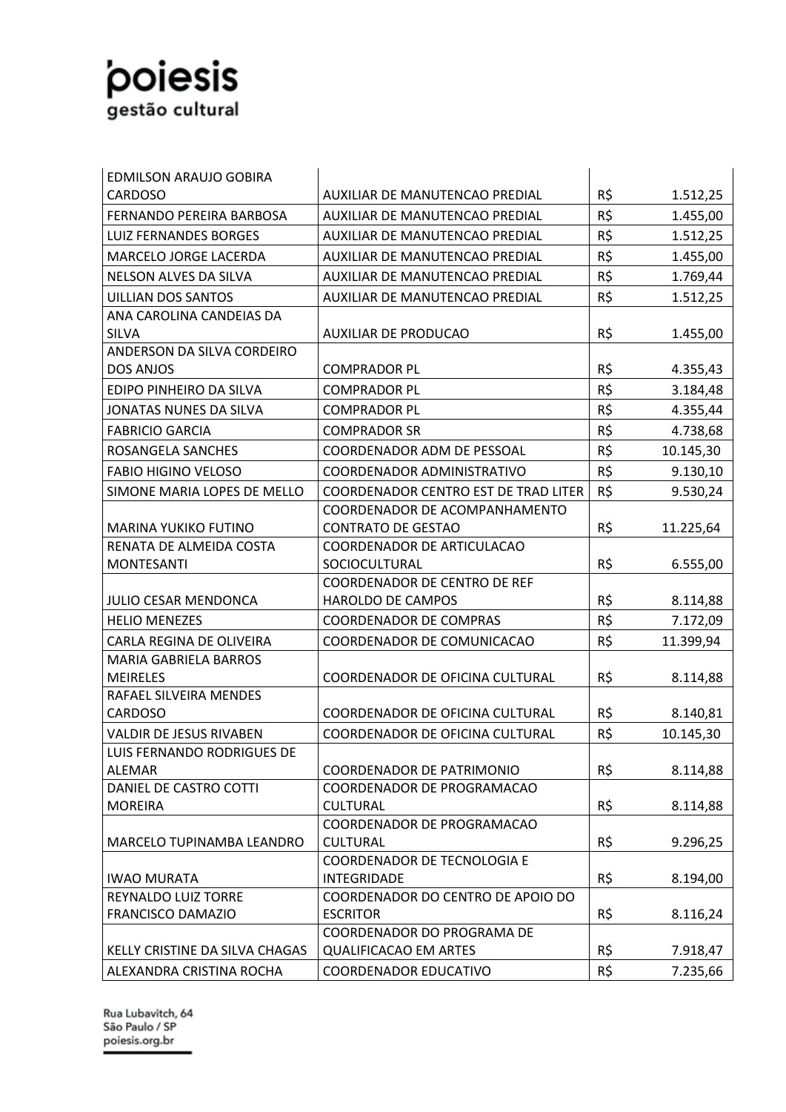| <b>EDMILSON ARAUJO GOBIRA</b>  |                                                            |     |           |
|--------------------------------|------------------------------------------------------------|-----|-----------|
| <b>CARDOSO</b>                 | AUXILIAR DE MANUTENCAO PREDIAL                             | R\$ | 1.512,25  |
| FERNANDO PEREIRA BARBOSA       | AUXILIAR DE MANUTENCAO PREDIAL                             | R\$ | 1.455,00  |
| <b>LUIZ FERNANDES BORGES</b>   | AUXILIAR DE MANUTENCAO PREDIAL                             | R\$ | 1.512,25  |
| <b>MARCELO JORGE LACERDA</b>   | AUXILIAR DE MANUTENCAO PREDIAL                             | R\$ | 1.455,00  |
| NELSON ALVES DA SILVA          | AUXILIAR DE MANUTENCAO PREDIAL                             | R\$ | 1.769,44  |
| <b>UILLIAN DOS SANTOS</b>      | AUXILIAR DE MANUTENCAO PREDIAL                             | R\$ | 1.512,25  |
| ANA CAROLINA CANDEIAS DA       |                                                            |     |           |
| <b>SILVA</b>                   | <b>AUXILIAR DE PRODUCAO</b>                                | R\$ | 1.455,00  |
| ANDERSON DA SILVA CORDEIRO     |                                                            |     |           |
| DOS ANJOS                      | <b>COMPRADOR PL</b>                                        | R\$ | 4.355,43  |
| EDIPO PINHEIRO DA SILVA        | <b>COMPRADOR PL</b>                                        | R\$ | 3.184,48  |
| JONATAS NUNES DA SILVA         | <b>COMPRADOR PL</b>                                        | R\$ | 4.355,44  |
| <b>FABRICIO GARCIA</b>         | <b>COMPRADOR SR</b>                                        | R\$ | 4.738,68  |
| ROSANGELA SANCHES              | COORDENADOR ADM DE PESSOAL                                 | R\$ | 10.145,30 |
| <b>FABIO HIGINO VELOSO</b>     | COORDENADOR ADMINISTRATIVO                                 | R\$ | 9.130,10  |
| SIMONE MARIA LOPES DE MELLO    | <b>COORDENADOR CENTRO EST DE TRAD LITER</b>                | R\$ | 9.530,24  |
|                                | COORDENADOR DE ACOMPANHAMENTO                              |     |           |
| <b>MARINA YUKIKO FUTINO</b>    | <b>CONTRATO DE GESTAO</b>                                  | R\$ | 11.225,64 |
| RENATA DE ALMEIDA COSTA        | COORDENADOR DE ARTICULACAO                                 |     |           |
| <b>MONTESANTI</b>              | SOCIOCULTURAL                                              | R\$ | 6.555,00  |
|                                | <b>COORDENADOR DE CENTRO DE REF</b>                        |     |           |
| <b>JULIO CESAR MENDONCA</b>    | HAROLDO DE CAMPOS                                          | R\$ | 8.114,88  |
| <b>HELIO MENEZES</b>           | <b>COORDENADOR DE COMPRAS</b>                              | R\$ | 7.172,09  |
| CARLA REGINA DE OLIVEIRA       | COORDENADOR DE COMUNICACAO                                 | R\$ | 11.399,94 |
| <b>MARIA GABRIELA BARROS</b>   |                                                            |     |           |
| <b>MEIRELES</b>                | COORDENADOR DE OFICINA CULTURAL                            | R\$ | 8.114,88  |
| RAFAEL SILVEIRA MENDES         |                                                            |     |           |
| <b>CARDOSO</b>                 | COORDENADOR DE OFICINA CULTURAL                            | R\$ | 8.140,81  |
| <b>VALDIR DE JESUS RIVABEN</b> | COORDENADOR DE OFICINA CULTURAL                            | R\$ | 10.145,30 |
| LUIS FERNANDO RODRIGUES DE     |                                                            |     |           |
| ALEMAR                         | <b>COORDENADOR DE PATRIMONIO</b>                           | R\$ | 8.114,88  |
| DANIEL DE CASTRO COTTI         | COORDENADOR DE PROGRAMACAO                                 |     |           |
| <b>MOREIRA</b>                 | <b>CULTURAL</b>                                            | R\$ | 8.114,88  |
|                                | COORDENADOR DE PROGRAMACAO                                 |     |           |
| MARCELO TUPINAMBA LEANDRO      | <b>CULTURAL</b>                                            | R\$ | 9.296,25  |
|                                | COORDENADOR DE TECNOLOGIA E                                |     |           |
| <b>IWAO MURATA</b>             | <b>INTEGRIDADE</b>                                         | R\$ | 8.194,00  |
| REYNALDO LUIZ TORRE            | COORDENADOR DO CENTRO DE APOIO DO                          |     |           |
| <b>FRANCISCO DAMAZIO</b>       | <b>ESCRITOR</b>                                            | R\$ | 8.116,24  |
| KELLY CRISTINE DA SILVA CHAGAS | COORDENADOR DO PROGRAMA DE<br><b>QUALIFICACAO EM ARTES</b> | R\$ | 7.918,47  |
| ALEXANDRA CRISTINA ROCHA       | COORDENADOR EDUCATIVO                                      | R\$ | 7.235,66  |
|                                |                                                            |     |           |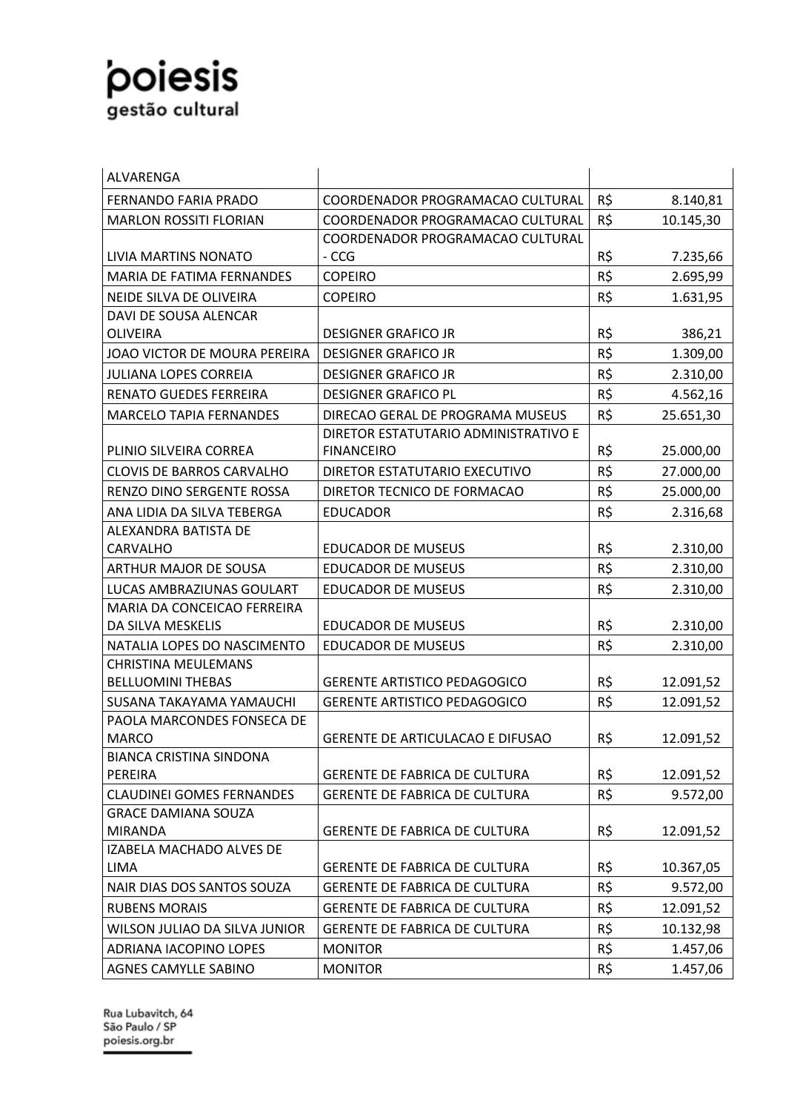| ALVARENGA                                      |                                         |     |           |
|------------------------------------------------|-----------------------------------------|-----|-----------|
| <b>FERNANDO FARIA PRADO</b>                    | COORDENADOR PROGRAMACAO CULTURAL        | R\$ | 8.140,81  |
| <b>MARLON ROSSITI FLORIAN</b>                  | COORDENADOR PROGRAMACAO CULTURAL        | R\$ | 10.145,30 |
|                                                | COORDENADOR PROGRAMACAO CULTURAL        |     |           |
| LIVIA MARTINS NONATO                           | - CCG                                   | R\$ | 7.235,66  |
| MARIA DE FATIMA FERNANDES                      | <b>COPEIRO</b>                          | R\$ | 2.695,99  |
| NEIDE SILVA DE OLIVEIRA                        | <b>COPEIRO</b>                          | R\$ | 1.631,95  |
| DAVI DE SOUSA ALENCAR                          |                                         |     |           |
| OLIVEIRA                                       | <b>DESIGNER GRAFICO JR</b>              | R\$ | 386,21    |
| JOAO VICTOR DE MOURA PEREIRA                   | <b>DESIGNER GRAFICO JR</b>              | R\$ | 1.309,00  |
| <b>JULIANA LOPES CORREIA</b>                   | <b>DESIGNER GRAFICO JR</b>              | R\$ | 2.310,00  |
| <b>RENATO GUEDES FERREIRA</b>                  | <b>DESIGNER GRAFICO PL</b>              | R\$ | 4.562,16  |
| <b>MARCELO TAPIA FERNANDES</b>                 | DIRECAO GERAL DE PROGRAMA MUSEUS        | R\$ | 25.651,30 |
|                                                | DIRETOR ESTATUTARIO ADMINISTRATIVO E    |     |           |
| PLINIO SILVEIRA CORREA                         | <b>FINANCEIRO</b>                       | R\$ | 25.000,00 |
| <b>CLOVIS DE BARROS CARVALHO</b>               | DIRETOR ESTATUTARIO EXECUTIVO           | R\$ | 27.000,00 |
| RENZO DINO SERGENTE ROSSA                      | DIRETOR TECNICO DE FORMACAO             | R\$ | 25.000,00 |
| ANA LIDIA DA SILVA TEBERGA                     | <b>EDUCADOR</b>                         | R\$ | 2.316,68  |
| ALEXANDRA BATISTA DE                           |                                         |     |           |
| <b>CARVALHO</b>                                | <b>EDUCADOR DE MUSEUS</b>               | R\$ | 2.310,00  |
| <b>ARTHUR MAJOR DE SOUSA</b>                   | <b>EDUCADOR DE MUSEUS</b>               | R\$ | 2.310,00  |
| LUCAS AMBRAZIUNAS GOULART                      | <b>EDUCADOR DE MUSEUS</b>               | R\$ | 2.310,00  |
| MARIA DA CONCEICAO FERREIRA                    |                                         |     |           |
| DA SILVA MESKELIS                              | <b>EDUCADOR DE MUSEUS</b>               | R\$ | 2.310,00  |
| NATALIA LOPES DO NASCIMENTO                    | <b>EDUCADOR DE MUSEUS</b>               | R\$ | 2.310,00  |
| <b>CHRISTINA MEULEMANS</b>                     |                                         |     |           |
| <b>BELLUOMINI THEBAS</b>                       | <b>GERENTE ARTISTICO PEDAGOGICO</b>     | R\$ | 12.091,52 |
| <b>SUSANA TAKAYAMA YAMAUCHI</b>                | <b>GERENTE ARTISTICO PEDAGOGICO</b>     | R\$ | 12.091,52 |
| PAOLA MARCONDES FONSECA DE                     |                                         |     |           |
| <b>MARCO</b><br><b>BIANCA CRISTINA SINDONA</b> | <b>GERENTE DE ARTICULACAO E DIFUSAO</b> | R\$ | 12.091,52 |
| PEREIRA                                        | <b>GERENTE DE FABRICA DE CULTURA</b>    | R\$ | 12.091,52 |
| <b>CLAUDINEI GOMES FERNANDES</b>               | <b>GERENTE DE FABRICA DE CULTURA</b>    | R\$ | 9.572,00  |
| <b>GRACE DAMIANA SOUZA</b>                     |                                         |     |           |
| <b>MIRANDA</b>                                 | GERENTE DE FABRICA DE CULTURA           | R\$ | 12.091,52 |
| IZABELA MACHADO ALVES DE                       |                                         |     |           |
| LIMA                                           | <b>GERENTE DE FABRICA DE CULTURA</b>    | R\$ | 10.367,05 |
| NAIR DIAS DOS SANTOS SOUZA                     | <b>GERENTE DE FABRICA DE CULTURA</b>    | R\$ | 9.572,00  |
| <b>RUBENS MORAIS</b>                           | <b>GERENTE DE FABRICA DE CULTURA</b>    | R\$ | 12.091,52 |
| WILSON JULIAO DA SILVA JUNIOR                  | <b>GERENTE DE FABRICA DE CULTURA</b>    | R\$ | 10.132,98 |
| ADRIANA IACOPINO LOPES                         | <b>MONITOR</b>                          | R\$ | 1.457,06  |
| AGNES CAMYLLE SABINO                           | <b>MONITOR</b>                          | R\$ | 1.457,06  |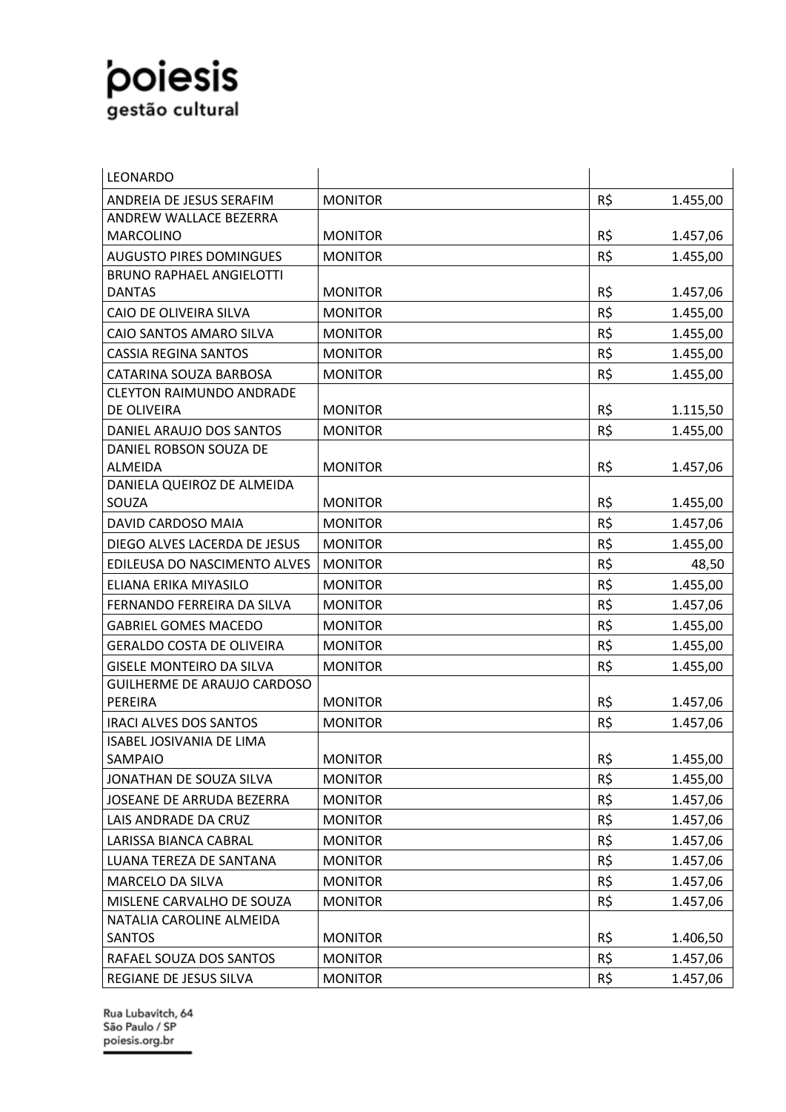| LEONARDO                           |                |     |          |
|------------------------------------|----------------|-----|----------|
| ANDREIA DE JESUS SERAFIM           | <b>MONITOR</b> | R\$ | 1.455,00 |
| ANDREW WALLACE BEZERRA             |                |     |          |
| <b>MARCOLINO</b>                   | <b>MONITOR</b> | R\$ | 1.457,06 |
| <b>AUGUSTO PIRES DOMINGUES</b>     | <b>MONITOR</b> | R\$ | 1.455,00 |
| <b>BRUNO RAPHAEL ANGIELOTTI</b>    |                |     |          |
| <b>DANTAS</b>                      | <b>MONITOR</b> | R\$ | 1.457,06 |
| CAIO DE OLIVEIRA SILVA             | <b>MONITOR</b> | R\$ | 1.455,00 |
| CAIO SANTOS AMARO SILVA            | <b>MONITOR</b> | R\$ | 1.455,00 |
| <b>CASSIA REGINA SANTOS</b>        | <b>MONITOR</b> | R\$ | 1.455,00 |
| CATARINA SOUZA BARBOSA             | <b>MONITOR</b> | R\$ | 1.455,00 |
| <b>CLEYTON RAIMUNDO ANDRADE</b>    |                |     |          |
| DE OLIVEIRA                        | <b>MONITOR</b> | R\$ | 1.115,50 |
| DANIEL ARAUJO DOS SANTOS           | <b>MONITOR</b> | R\$ | 1.455,00 |
| DANIEL ROBSON SOUZA DE             |                |     |          |
| <b>ALMEIDA</b>                     | <b>MONITOR</b> | R\$ | 1.457,06 |
| DANIELA QUEIROZ DE ALMEIDA         |                |     |          |
| SOUZA                              | <b>MONITOR</b> | R\$ | 1.455,00 |
| DAVID CARDOSO MAIA                 | <b>MONITOR</b> | R\$ | 1.457,06 |
| DIEGO ALVES LACERDA DE JESUS       | <b>MONITOR</b> | R\$ | 1.455,00 |
| EDILEUSA DO NASCIMENTO ALVES       | <b>MONITOR</b> | R\$ | 48,50    |
| ELIANA ERIKA MIYASILO              | <b>MONITOR</b> | R\$ | 1.455,00 |
| FERNANDO FERREIRA DA SILVA         | <b>MONITOR</b> | R\$ | 1.457,06 |
| <b>GABRIEL GOMES MACEDO</b>        | <b>MONITOR</b> | R\$ | 1.455,00 |
| <b>GERALDO COSTA DE OLIVEIRA</b>   | <b>MONITOR</b> | R\$ | 1.455,00 |
| <b>GISELE MONTEIRO DA SILVA</b>    | <b>MONITOR</b> | R\$ | 1.455,00 |
| <b>GUILHERME DE ARAUJO CARDOSO</b> |                |     |          |
| PEREIRA                            | <b>MONITOR</b> | R\$ | 1.457,06 |
| <b>IRACI ALVES DOS SANTOS</b>      | <b>MONITOR</b> | R\$ | 1.457,06 |
| <b>ISABEL JOSIVANIA DE LIMA</b>    |                |     |          |
| SAMPAIO                            | <b>MONITOR</b> | R\$ | 1.455,00 |
| JONATHAN DE SOUZA SILVA            | <b>MONITOR</b> | R\$ | 1.455,00 |
| JOSEANE DE ARRUDA BEZERRA          | <b>MONITOR</b> | R\$ | 1.457,06 |
| LAIS ANDRADE DA CRUZ               | <b>MONITOR</b> | R\$ | 1.457,06 |
| LARISSA BIANCA CABRAL              | <b>MONITOR</b> | R\$ | 1.457,06 |
| LUANA TEREZA DE SANTANA            | <b>MONITOR</b> | R\$ | 1.457,06 |
| <b>MARCELO DA SILVA</b>            | <b>MONITOR</b> | R\$ | 1.457,06 |
| MISLENE CARVALHO DE SOUZA          | <b>MONITOR</b> | R\$ | 1.457,06 |
| NATALIA CAROLINE ALMEIDA           |                |     |          |
| <b>SANTOS</b>                      | <b>MONITOR</b> | R\$ | 1.406,50 |
| RAFAEL SOUZA DOS SANTOS            | <b>MONITOR</b> | R\$ | 1.457,06 |
| REGIANE DE JESUS SILVA             | <b>MONITOR</b> | R\$ | 1.457,06 |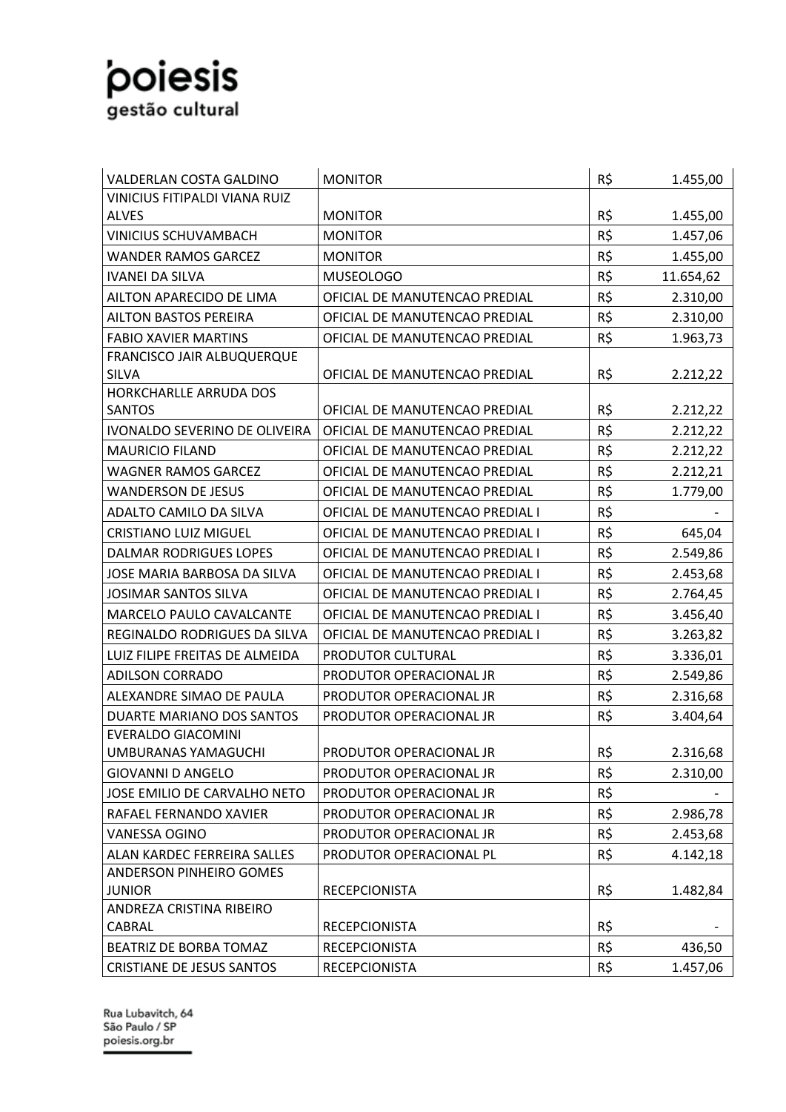| VALDERLAN COSTA GALDINO           | <b>MONITOR</b>                  | R\$ | 1.455,00  |
|-----------------------------------|---------------------------------|-----|-----------|
| VINICIUS FITIPALDI VIANA RUIZ     |                                 |     |           |
| <b>ALVES</b>                      | <b>MONITOR</b>                  | R\$ | 1.455,00  |
| <b>VINICIUS SCHUVAMBACH</b>       | <b>MONITOR</b>                  | R\$ | 1.457,06  |
| <b>WANDER RAMOS GARCEZ</b>        | <b>MONITOR</b>                  | R\$ | 1.455,00  |
| <b>IVANEI DA SILVA</b>            | <b>MUSEOLOGO</b>                | R\$ | 11.654,62 |
| AILTON APARECIDO DE LIMA          | OFICIAL DE MANUTENCAO PREDIAL   | R\$ | 2.310,00  |
| <b>AILTON BASTOS PEREIRA</b>      | OFICIAL DE MANUTENCAO PREDIAL   | R\$ | 2.310,00  |
| <b>FABIO XAVIER MARTINS</b>       | OFICIAL DE MANUTENCAO PREDIAL   | R\$ | 1.963,73  |
| <b>FRANCISCO JAIR ALBUQUERQUE</b> |                                 |     |           |
| <b>SILVA</b>                      | OFICIAL DE MANUTENCAO PREDIAL   | R\$ | 2.212,22  |
| HORKCHARLLE ARRUDA DOS            |                                 |     |           |
| <b>SANTOS</b>                     | OFICIAL DE MANUTENCAO PREDIAL   | R\$ | 2.212,22  |
| IVONALDO SEVERINO DE OLIVEIRA     | OFICIAL DE MANUTENCAO PREDIAL   | R\$ | 2.212,22  |
| <b>MAURICIO FILAND</b>            | OFICIAL DE MANUTENCAO PREDIAL   | R\$ | 2.212,22  |
| <b>WAGNER RAMOS GARCEZ</b>        | OFICIAL DE MANUTENCAO PREDIAL   | R\$ | 2.212,21  |
| <b>WANDERSON DE JESUS</b>         | OFICIAL DE MANUTENCAO PREDIAL   | R\$ | 1.779,00  |
| ADALTO CAMILO DA SILVA            | OFICIAL DE MANUTENCAO PREDIAL I | R\$ |           |
| <b>CRISTIANO LUIZ MIGUEL</b>      | OFICIAL DE MANUTENCAO PREDIAL I | R\$ | 645,04    |
| <b>DALMAR RODRIGUES LOPES</b>     | OFICIAL DE MANUTENCAO PREDIAL I | R\$ | 2.549,86  |
| JOSE MARIA BARBOSA DA SILVA       | OFICIAL DE MANUTENCAO PREDIAL I | R\$ | 2.453,68  |
| JOSIMAR SANTOS SILVA              | OFICIAL DE MANUTENCAO PREDIAL I | R\$ | 2.764,45  |
| <b>MARCELO PAULO CAVALCANTE</b>   | OFICIAL DE MANUTENCAO PREDIAL I | R\$ | 3.456,40  |
| REGINALDO RODRIGUES DA SILVA      | OFICIAL DE MANUTENCAO PREDIAL I | R\$ | 3.263,82  |
| LUIZ FILIPE FREITAS DE ALMEIDA    | PRODUTOR CULTURAL               | R\$ | 3.336,01  |
| <b>ADILSON CORRADO</b>            | PRODUTOR OPERACIONAL JR         | R\$ | 2.549,86  |
| ALEXANDRE SIMAO DE PAULA          | PRODUTOR OPERACIONAL JR         | R\$ | 2.316,68  |
| DUARTE MARIANO DOS SANTOS         | PRODUTOR OPERACIONAL JR         | R\$ | 3.404,64  |
| <b>EVERALDO GIACOMINI</b>         |                                 |     |           |
| UMBURANAS YAMAGUCHI               | PRODUTOR OPERACIONAL JR         | R\$ | 2.316,68  |
| <b>GIOVANNI D ANGELO</b>          | PRODUTOR OPERACIONAL JR         | R\$ | 2.310,00  |
| JOSE EMILIO DE CARVALHO NETO      | PRODUTOR OPERACIONAL JR         | R\$ |           |
| RAFAEL FERNANDO XAVIER            | PRODUTOR OPERACIONAL JR         | R\$ | 2.986,78  |
| <b>VANESSA OGINO</b>              | PRODUTOR OPERACIONAL JR         | R\$ | 2.453,68  |
| ALAN KARDEC FERREIRA SALLES       | PRODUTOR OPERACIONAL PL         | R\$ | 4.142,18  |
| <b>ANDERSON PINHEIRO GOMES</b>    |                                 |     |           |
| <b>JUNIOR</b>                     | <b>RECEPCIONISTA</b>            | R\$ | 1.482,84  |
| ANDREZA CRISTINA RIBEIRO          |                                 |     |           |
| CABRAL                            | <b>RECEPCIONISTA</b>            | R\$ |           |
| BEATRIZ DE BORBA TOMAZ            | <b>RECEPCIONISTA</b>            | R\$ | 436,50    |
| <b>CRISTIANE DE JESUS SANTOS</b>  | <b>RECEPCIONISTA</b>            | R\$ | 1.457,06  |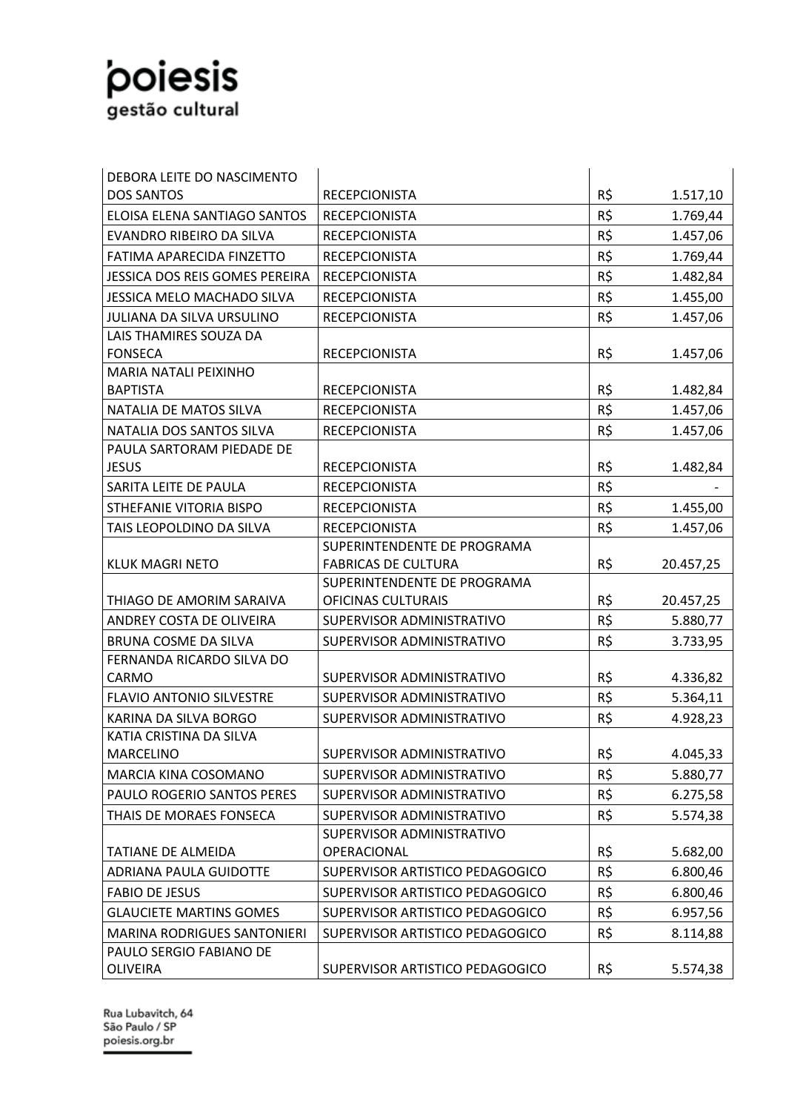| DEBORA LEITE DO NASCIMENTO         |                                 |     |           |
|------------------------------------|---------------------------------|-----|-----------|
| <b>DOS SANTOS</b>                  | <b>RECEPCIONISTA</b>            | R\$ | 1.517,10  |
| ELOISA ELENA SANTIAGO SANTOS       | <b>RECEPCIONISTA</b>            | R\$ | 1.769,44  |
| EVANDRO RIBEIRO DA SILVA           | <b>RECEPCIONISTA</b>            | R\$ | 1.457,06  |
| FATIMA APARECIDA FINZETTO          | <b>RECEPCIONISTA</b>            | R\$ | 1.769,44  |
| JESSICA DOS REIS GOMES PEREIRA     | <b>RECEPCIONISTA</b>            | R\$ | 1.482,84  |
| <b>JESSICA MELO MACHADO SILVA</b>  | <b>RECEPCIONISTA</b>            | R\$ | 1.455,00  |
| <b>JULIANA DA SILVA URSULINO</b>   | <b>RECEPCIONISTA</b>            | R\$ | 1.457,06  |
| LAIS THAMIRES SOUZA DA             |                                 |     |           |
| <b>FONSECA</b>                     | <b>RECEPCIONISTA</b>            | R\$ | 1.457,06  |
| <b>MARIA NATALI PEIXINHO</b>       |                                 |     |           |
| <b>BAPTISTA</b>                    | <b>RECEPCIONISTA</b>            | R\$ | 1.482,84  |
| NATALIA DE MATOS SILVA             | <b>RECEPCIONISTA</b>            | R\$ | 1.457,06  |
| NATALIA DOS SANTOS SILVA           | <b>RECEPCIONISTA</b>            | R\$ | 1.457,06  |
| PAULA SARTORAM PIEDADE DE          |                                 |     |           |
| <b>JESUS</b>                       | <b>RECEPCIONISTA</b>            | R\$ | 1.482,84  |
| SARITA LEITE DE PAULA              | <b>RECEPCIONISTA</b>            | R\$ |           |
| STHEFANIE VITORIA BISPO            | <b>RECEPCIONISTA</b>            | R\$ | 1.455,00  |
| TAIS LEOPOLDINO DA SILVA           | <b>RECEPCIONISTA</b>            | R\$ | 1.457,06  |
|                                    | SUPERINTENDENTE DE PROGRAMA     |     |           |
| <b>KLUK MAGRI NETO</b>             | <b>FABRICAS DE CULTURA</b>      | R\$ | 20.457,25 |
|                                    | SUPERINTENDENTE DE PROGRAMA     |     |           |
| THIAGO DE AMORIM SARAIVA           | OFICINAS CULTURAIS              | R\$ | 20.457,25 |
| ANDREY COSTA DE OLIVEIRA           | SUPERVISOR ADMINISTRATIVO       | R\$ | 5.880,77  |
| <b>BRUNA COSME DA SILVA</b>        | SUPERVISOR ADMINISTRATIVO       | R\$ | 3.733,95  |
| FERNANDA RICARDO SILVA DO          |                                 |     |           |
| <b>CARMO</b>                       | SUPERVISOR ADMINISTRATIVO       | R\$ | 4.336,82  |
| <b>FLAVIO ANTONIO SILVESTRE</b>    | SUPERVISOR ADMINISTRATIVO       | R\$ | 5.364,11  |
| KARINA DA SILVA BORGO              | SUPERVISOR ADMINISTRATIVO       | R\$ | 4.928,23  |
| KATIA CRISTINA DA SILVA            |                                 |     |           |
| MARCELINO                          | SUPERVISOR ADMINISTRATIVO       | R\$ | 4.045,33  |
| MARCIA KINA COSOMANO               | SUPERVISOR ADMINISTRATIVO       | R\$ | 5.880,77  |
| PAULO ROGERIO SANTOS PERES         | SUPERVISOR ADMINISTRATIVO       | R\$ | 6.275,58  |
| THAIS DE MORAES FONSECA            | SUPERVISOR ADMINISTRATIVO       | R\$ | 5.574,38  |
|                                    | SUPERVISOR ADMINISTRATIVO       |     |           |
| TATIANE DE ALMEIDA                 | OPERACIONAL                     | R\$ | 5.682,00  |
| ADRIANA PAULA GUIDOTTE             | SUPERVISOR ARTISTICO PEDAGOGICO | R\$ | 6.800,46  |
| <b>FABIO DE JESUS</b>              | SUPERVISOR ARTISTICO PEDAGOGICO | R\$ | 6.800,46  |
| <b>GLAUCIETE MARTINS GOMES</b>     | SUPERVISOR ARTISTICO PEDAGOGICO | R\$ | 6.957,56  |
| <b>MARINA RODRIGUES SANTONIERI</b> | SUPERVISOR ARTISTICO PEDAGOGICO | R\$ | 8.114,88  |
| PAULO SERGIO FABIANO DE            |                                 |     |           |
| <b>OLIVEIRA</b>                    | SUPERVISOR ARTISTICO PEDAGOGICO | R\$ | 5.574,38  |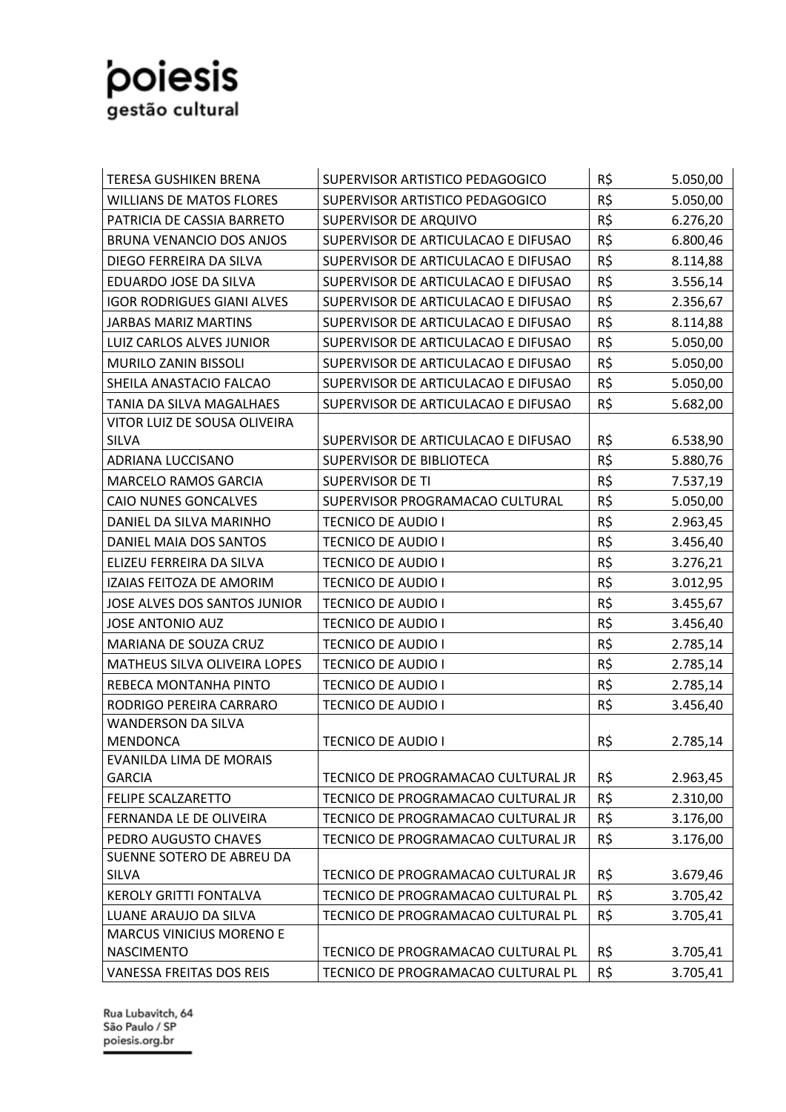| <b>TERESA GUSHIKEN BRENA</b>                             | SUPERVISOR ARTISTICO PEDAGOGICO     | R\$ | 5.050,00 |
|----------------------------------------------------------|-------------------------------------|-----|----------|
| <b>WILLIANS DE MATOS FLORES</b>                          | SUPERVISOR ARTISTICO PEDAGOGICO     | R\$ | 5.050,00 |
| PATRICIA DE CASSIA BARRETO                               | SUPERVISOR DE ARQUIVO               | R\$ | 6.276,20 |
| <b>BRUNA VENANCIO DOS ANJOS</b>                          | SUPERVISOR DE ARTICULACAO E DIFUSAO | R\$ | 6.800,46 |
| DIEGO FERREIRA DA SILVA                                  | SUPERVISOR DE ARTICULACAO E DIFUSAO | R\$ | 8.114,88 |
| EDUARDO JOSE DA SILVA                                    | SUPERVISOR DE ARTICULACAO E DIFUSAO | R\$ | 3.556,14 |
| <b>IGOR RODRIGUES GIANI ALVES</b>                        | SUPERVISOR DE ARTICULACAO E DIFUSAO | R\$ | 2.356,67 |
| <b>JARBAS MARIZ MARTINS</b>                              | SUPERVISOR DE ARTICULACAO E DIFUSAO | R\$ | 8.114,88 |
| LUIZ CARLOS ALVES JUNIOR                                 | SUPERVISOR DE ARTICULACAO E DIFUSAO | R\$ | 5.050,00 |
| MURILO ZANIN BISSOLI                                     | SUPERVISOR DE ARTICULACAO E DIFUSAO | R\$ | 5.050,00 |
| SHEILA ANASTACIO FALCAO                                  | SUPERVISOR DE ARTICULACAO E DIFUSAO | R\$ | 5.050,00 |
| TANIA DA SILVA MAGALHAES                                 | SUPERVISOR DE ARTICULACAO E DIFUSAO | R\$ | 5.682,00 |
| VITOR LUIZ DE SOUSA OLIVEIRA                             |                                     |     |          |
| <b>SILVA</b>                                             | SUPERVISOR DE ARTICULACAO E DIFUSAO | R\$ | 6.538,90 |
| ADRIANA LUCCISANO                                        | SUPERVISOR DE BIBLIOTECA            | R\$ | 5.880,76 |
| <b>MARCELO RAMOS GARCIA</b>                              | <b>SUPERVISOR DE TI</b>             | R\$ | 7.537,19 |
| CAIO NUNES GONCALVES                                     | SUPERVISOR PROGRAMACAO CULTURAL     | R\$ | 5.050,00 |
| DANIEL DA SILVA MARINHO                                  | <b>TECNICO DE AUDIO I</b>           | R\$ | 2.963,45 |
| DANIEL MAIA DOS SANTOS                                   | <b>TECNICO DE AUDIO I</b>           | R\$ | 3.456,40 |
| ELIZEU FERREIRA DA SILVA                                 | <b>TECNICO DE AUDIO I</b>           | R\$ | 3.276,21 |
| IZAIAS FEITOZA DE AMORIM                                 | <b>TECNICO DE AUDIO I</b>           | R\$ | 3.012,95 |
| JOSE ALVES DOS SANTOS JUNIOR                             | <b>TECNICO DE AUDIO I</b>           | R\$ | 3.455,67 |
| <b>JOSE ANTONIO AUZ</b>                                  | <b>TECNICO DE AUDIO I</b>           | R\$ | 3.456,40 |
| MARIANA DE SOUZA CRUZ                                    | <b>TECNICO DE AUDIO I</b>           | R\$ | 2.785,14 |
| MATHEUS SILVA OLIVEIRA LOPES                             | <b>TECNICO DE AUDIO I</b>           | R\$ | 2.785,14 |
| REBECA MONTANHA PINTO                                    | <b>TECNICO DE AUDIO I</b>           | R\$ | 2.785,14 |
| RODRIGO PEREIRA CARRARO                                  | <b>TECNICO DE AUDIO I</b>           | R\$ | 3.456,40 |
| <b>WANDERSON DA SILVA</b>                                |                                     |     |          |
| <b>MENDONCA</b>                                          | <b>TECNICO DE AUDIO I</b>           | R\$ | 2.785,14 |
| EVANILDA LIMA DE MORAIS                                  |                                     |     |          |
| <b>GARCIA</b>                                            | TECNICO DE PROGRAMACAO CULTURAL JR  | R\$ | 2.963,45 |
| FELIPE SCALZARETTO                                       | TECNICO DE PROGRAMACAO CULTURAL JR  | R\$ | 2.310,00 |
| FERNANDA LE DE OLIVEIRA                                  | TECNICO DE PROGRAMACAO CULTURAL JR  | R\$ | 3.176,00 |
| PEDRO AUGUSTO CHAVES                                     | TECNICO DE PROGRAMACAO CULTURAL JR  | R\$ | 3.176,00 |
| SUENNE SOTERO DE ABREU DA                                | TECNICO DE PROGRAMACAO CULTURAL JR  | R\$ |          |
| <b>SILVA</b>                                             |                                     | R\$ | 3.679,46 |
| <b>KEROLY GRITTI FONTALVA</b>                            | TECNICO DE PROGRAMACAO CULTURAL PL  |     | 3.705,42 |
| LUANE ARAUJO DA SILVA<br><b>MARCUS VINICIUS MORENO E</b> | TECNICO DE PROGRAMACAO CULTURAL PL  | R\$ | 3.705,41 |
| <b>NASCIMENTO</b>                                        | TECNICO DE PROGRAMACAO CULTURAL PL  | R\$ | 3.705,41 |
| <b>VANESSA FREITAS DOS REIS</b>                          | TECNICO DE PROGRAMACAO CULTURAL PL  | R\$ | 3.705,41 |